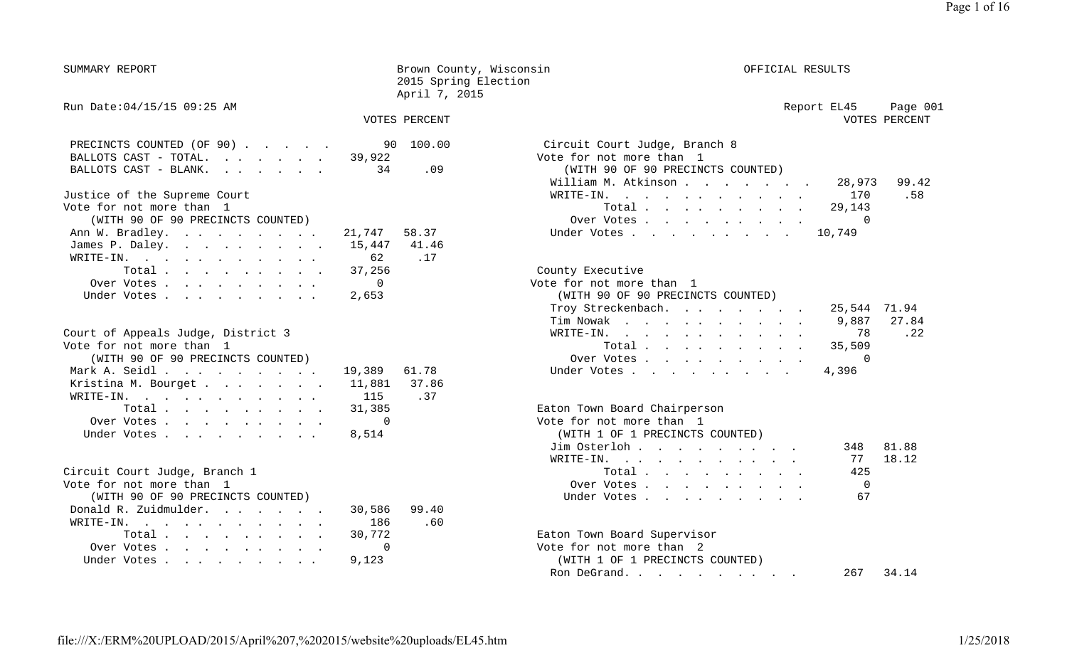SUMMARY REPORT SUMMARY REPORT SERVICES SERVICES And DESCRIPTION OF BROWN COUNTY, Wisconsin 2015 Spring Election April 7, 2015

#### VOTES PERCENT VOTES PERCENT

| PRECINCTS COUNTED (OF 90) 90 100.00  |     | Circuit Court Judge, Branch 8     |
|--------------------------------------|-----|-----------------------------------|
| BALLOTS CAST - TOTAL. $\cdot$ 39,922 |     | Vote for not more than 1          |
| BALLOTS CAST - BLANK. 34             | .09 | (WITH 90 OF 90 PRECINCTS COUNTED) |
|                                      |     | William M. Atkinson               |
| Justice of the Supreme Court         |     | WRITE-IN.                         |

| Vote for not more than 1                              | Total 29,143                      |
|-------------------------------------------------------|-----------------------------------|
| (WITH 90 OF 90 PRECINCTS COUNTED)                     | Over Votes 0                      |
| Ann W. Bradley. 21,747 58.37                          | Under Votes 10,749                |
| James P. Daley. 15,447 41.46                          |                                   |
| WRITE-IN. 62 .17                                      |                                   |
| Total 37,256                                          | County Executive                  |
| Over Votes 0                                          | Vote for not more than 1          |
| Under Votes $\ldots$ $\ldots$ $\ldots$ $\ldots$ 2,653 | (WITH 90 OF 90 PRECINCTS COUNTED) |

| Court of Appeals Judge, District 3  | -78<br>$\texttt{WRTTE-IN.}$     |
|-------------------------------------|---------------------------------|
| Vote for not more than 1            | Total 35,509                    |
| (WITH 90 OF 90 PRECINCTS COUNTED)   | Over Votes 0                    |
| Mark A. Seidl 19,389 61.78          | Under Votes 4,396               |
| Kristina M. Bourget 11,881<br>37.86 |                                 |
| .37<br>WRITE-IN. 115                |                                 |
| Total 31,385                        | Eaton Town Board Chairperson    |
| Over Votes 0                        | Vote for not more than 1        |
| Under Votes8,514                    | (WITH 1 OF 1 PRECINCTS COUNTED) |

| Circuit Court Judge, Branch 1     | 425<br>Total                    |
|-----------------------------------|---------------------------------|
| Vote for not more than 1          | Over Votes                      |
| (WITH 90 OF 90 PRECINCTS COUNTED) | -67<br>Under Votes              |
| Donald R. Zuidmulder.<br>30,586   | 99.40                           |
| WRITE-IN. 186                     | .60                             |
| Total 30,772                      | Eaton Town Board Supervisor     |
| Over Votes                        | Vote for not more than 2        |
| Under Votes 9,123                 | (WITH 1 OF 1 PRECINCTS COUNTED) |

Run Date:04/15/15 09:25 AM 2012 20:25 AM 2012 20:25 AM 20:25 AM 20:25 20:25 Report EL45 Page 001 VOTES PERCENT

| PRECINCTS COUNTED (OF 90) 90 100.00  |       | Circuit Court Judge, Branch 8     |              |
|--------------------------------------|-------|-----------------------------------|--------------|
| BALLOTS CAST - TOTAL. $\cdot$ 39,922 |       | Vote for not more than 1          |              |
| BALLOTS CAST - BLANK. 34             | .09   | (WITH 90 OF 90 PRECINCTS COUNTED) |              |
|                                      |       | William M. Atkinson               | 28,973 99.42 |
| Justice of the Supreme Court         |       | WRITE-IN. 170                     | .58          |
| Vote for not more than 1             |       | Total 29,143                      |              |
| (WITH 90 OF 90 PRECINCTS COUNTED)    |       | Over Votes 0                      |              |
| Ann W. Bradley. 21,747               | 58.37 | Under Votes 10,749                |              |

| Over Votes                         |  | Vote for not more than 1          |       |
|------------------------------------|--|-----------------------------------|-------|
| Under Votes 2,653                  |  | (WITH 90 OF 90 PRECINCTS COUNTED) |       |
|                                    |  | Troy Streckenbach. 25,544 71.94   |       |
|                                    |  | Tim Nowak 9,887                   | 27.84 |
| Court of Appeals Judge, District 3 |  | WRITE-IN. 78                      | .22   |
| Vote for not more than 1           |  | Total 35,509                      |       |
| (WITH 90 OF 90 PRECINCTS COUNTED)  |  | Over Votes 0                      |       |
| Mark A. Seidl 19,389 61.78         |  | Under Votes 4,396                 |       |
|                                    |  |                                   |       |

|  |  |  | Eaton Town Board Chairperson |
|--|--|--|------------------------------|
|--|--|--|------------------------------|

| Over Votes 0                      | Vote for not more than 1        |              |  |  |  |  |
|-----------------------------------|---------------------------------|--------------|--|--|--|--|
| Under Votes 8,514                 | (WITH 1 OF 1 PRECINCTS COUNTED) |              |  |  |  |  |
|                                   | Jim Osterloh                    | 81.88<br>348 |  |  |  |  |
|                                   | WRITE-IN. 77 18.12              |              |  |  |  |  |
| Circuit Court Judge, Branch 1     | Total $\ldots$                  | 425          |  |  |  |  |
| Vote for not more than 1          | Over Votes 0                    |              |  |  |  |  |
| (WITH 90 OF 90 PRECINCTS COUNTED) | Under Votes 67                  |              |  |  |  |  |
|                                   |                                 |              |  |  |  |  |

Eaton Town Board Supervisor (WITH 1 OF 1 PRECINCTS COUNTED) Ron DeGrand. . . . . . . . . . . 267 34.14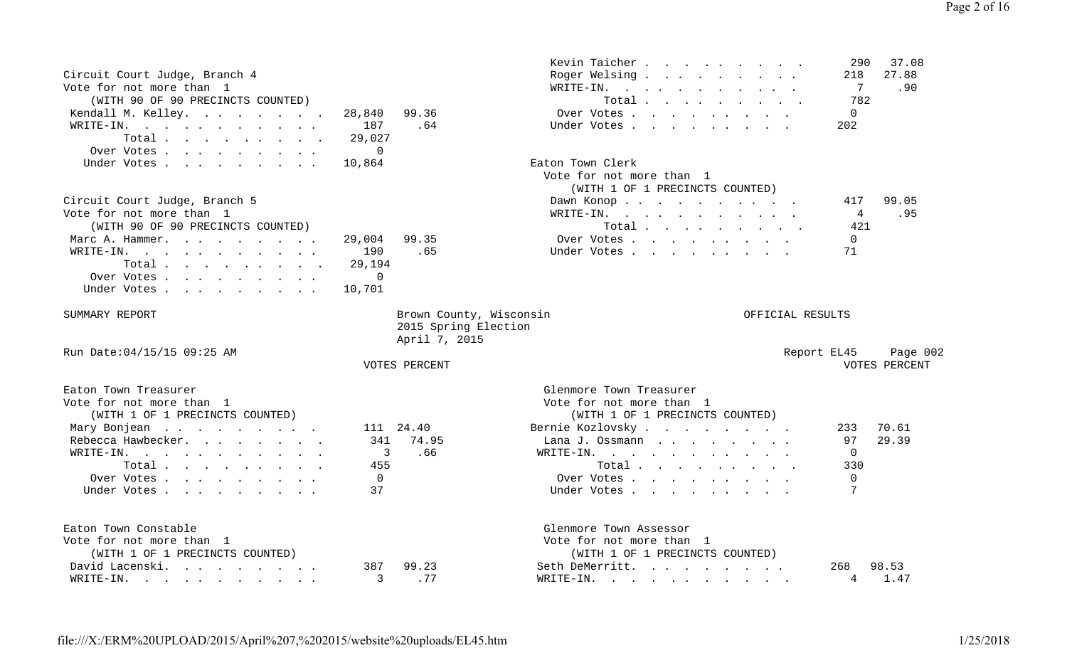| Vote for not more than 1                                                                              |                         | WRITE-IN.<br>$\mathbf{r}$ , and $\mathbf{r}$ , and $\mathbf{r}$ , and $\mathbf{r}$ , and $\mathbf{r}$ | 7<br>.90                |
|-------------------------------------------------------------------------------------------------------|-------------------------|-------------------------------------------------------------------------------------------------------|-------------------------|
| (WITH 90 OF 90 PRECINCTS COUNTED)                                                                     |                         | Total                                                                                                 | 782                     |
| Kendall M. Kelley.                                                                                    | 99.36<br>28,840         | Over Votes                                                                                            | $\mathbf 0$             |
| WRITE-IN.<br>$\mathbf{r}$ , and $\mathbf{r}$ , and $\mathbf{r}$ , and $\mathbf{r}$ , and $\mathbf{r}$ | .64<br>187              | Under Votes                                                                                           | 202                     |
| Total                                                                                                 | 29,027                  |                                                                                                       |                         |
| Over Votes                                                                                            | $\overline{0}$          |                                                                                                       |                         |
| Under Votes                                                                                           | 10,864                  | Eaton Town Clerk                                                                                      |                         |
|                                                                                                       |                         | Vote for not more than 1                                                                              |                         |
|                                                                                                       |                         | (WITH 1 OF 1 PRECINCTS COUNTED)                                                                       |                         |
| Circuit Court Judge, Branch 5                                                                         |                         | Dawn Konop                                                                                            | 99.05<br>417            |
| Vote for not more than 1                                                                              |                         | WRITE-IN.                                                                                             | .95<br>4                |
| (WITH 90 OF 90 PRECINCTS COUNTED)                                                                     |                         | Total                                                                                                 | 421                     |
| Marc A. Hammer.                                                                                       | 99.35<br>29,004         | Over Votes                                                                                            | $\mathbf 0$             |
| WRITE-IN.                                                                                             | 190<br>.65              | Under Votes                                                                                           | 71                      |
| Total.                                                                                                | 29,194                  |                                                                                                       |                         |
| Over Votes.                                                                                           | $\Omega$                |                                                                                                       |                         |
| Under Votes                                                                                           | 10,701                  |                                                                                                       |                         |
|                                                                                                       |                         |                                                                                                       |                         |
| SUMMARY REPORT                                                                                        | Brown County, Wisconsin | OFFICIAL RESULTS                                                                                      |                         |
|                                                                                                       | 2015 Spring Election    |                                                                                                       |                         |
|                                                                                                       | April 7, 2015           |                                                                                                       |                         |
| Run Date: 04/15/15 09:25 AM                                                                           |                         |                                                                                                       | Report EL45<br>Page 002 |
|                                                                                                       | VOTES PERCENT           |                                                                                                       | VOTES PERCENT           |
|                                                                                                       |                         |                                                                                                       |                         |
| Eaton Town Treasurer                                                                                  |                         | Glenmore Town Treasurer                                                                               |                         |
| Vote for not more than 1                                                                              |                         | Vote for not more than 1                                                                              |                         |
| (WITH 1 OF 1 PRECINCTS COUNTED)                                                                       |                         | (WITH 1 OF 1 PRECINCTS COUNTED)                                                                       |                         |
| Mary Bonjean                                                                                          | 111 24.40               | Bernie Kozlovsky                                                                                      | 70.61<br>233            |
| Rebecca Hawbecker.                                                                                    | 341<br>74.95            | Lana J. Ossmann                                                                                       | 29.39<br>97             |
| WRITE-IN.                                                                                             | 3<br>.66                | WRITE-IN.                                                                                             | $\Omega$                |
| Total                                                                                                 | 455                     | Total                                                                                                 | 330                     |
| Over Votes.                                                                                           | $\overline{0}$          | Over Votes                                                                                            | $\Omega$                |
| Under Votes                                                                                           | 37                      | Under Votes                                                                                           | 7                       |
|                                                                                                       |                         |                                                                                                       |                         |
|                                                                                                       |                         |                                                                                                       |                         |
| Eaton Town Constable                                                                                  |                         | Glenmore Town Assessor                                                                                |                         |
| Vote for not more than 1                                                                              |                         | Vote for not more than 1                                                                              |                         |
| (WITH 1 OF 1 PRECINCTS COUNTED)                                                                       |                         | (WITH 1 OF 1 PRECINCTS COUNTED)                                                                       |                         |
| David Lacenski.                                                                                       | 99.23<br>387            | Seth DeMerritt.                                                                                       | 98.53<br>268            |
| WRITE-IN.                                                                                             | .77<br>3                | WRITE-IN.                                                                                             | 1.47<br>4               |

Kevin Taicher . . . . . . . . . 290 37.08 Circuit Court Judge, Branch 4 Roger Welsing . . . . . . . . . 218 27.88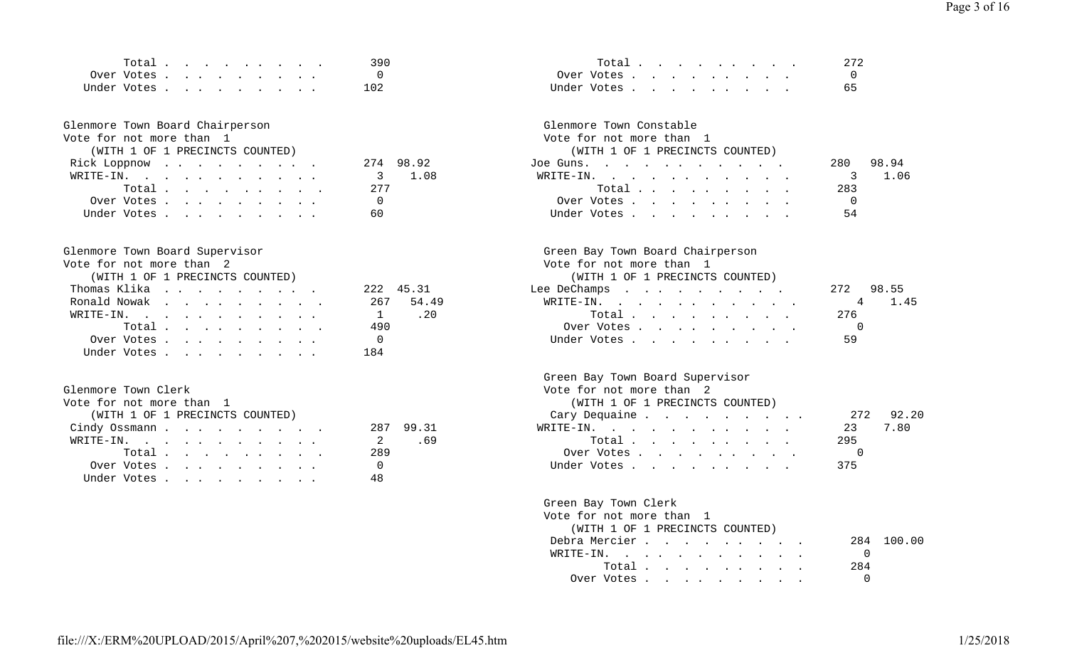| $T0+T0$        |  |  |  |  | 39 C |                                                                                                                        |    |
|----------------|--|--|--|--|------|------------------------------------------------------------------------------------------------------------------------|----|
| Over Votes     |  |  |  |  |      | )ver<br>in the state of the state of the state of the state of the state of the state of the state of the state of the |    |
| ∐nder<br>Votes |  |  |  |  | .02  | ™der                                                                                                                   | 65 |

# Glenmore Town Board Chairperson<br>
Vote for not more than 1

#### Vote for not more than 1 Vote for not more than 1

| (WITH 1 OF 1 PRECINCTS COUNTED) |           | (WITH 1 OF 1 PRECINCTS COUNTED) |     |
|---------------------------------|-----------|---------------------------------|-----|
| Rick Loppnow                    | 274 98.92 | Joe Guns.                       | 280 |
| WRITE-IN. 3 1.08                |           | WRITE-IN.                       |     |
| Total $\cdots$                  | 2.77      | Total                           | 283 |
| Over Votes                      |           | Over Votes                      |     |
| Under Votes                     | 60        | Under Votes                     | 54  |

| vote for not more than 2        |           | vote for not more than f        |              |
|---------------------------------|-----------|---------------------------------|--------------|
| (WITH 1 OF 1 PRECINCTS COUNTED) |           | (WITH 1 OF 1 PRECINCTS COUNTED) |              |
| Thomas Klika                    | 222 45.31 | Lee DeChamps                    | 98.55<br>272 |
| Ronald Nowak                    | 267 54.49 | WRITE-IN.                       | 4 1.         |
| WRITE-IN. 1 . 20                |           | Total                           | 276          |
| Total $\ldots$                  | 490       | Over Votes                      |              |
| Over Votes                      | $\Omega$  | Under Votes 59                  |              |
| Under Votes                     | 184       |                                 |              |

### Glenmore Town Clerk

| Vote for not more than  1       | (WITH 1 OF 1 PRECINCTS COUNTED) |
|---------------------------------|---------------------------------|
| (WITH 1 OF 1 PRECINCTS COUNTED) | -27<br>Cary Dequaine            |
| 287 99.31<br>Cindy Ossmann      | 23<br>WRITE-IN.                 |
| WRITE-IN.<br>2.69               | 295<br>Total $\cdots$           |
| 289<br>Total.                   | Over Votes                      |
| Over Votes                      | Under Votes 375                 |
| Under Votes                     |                                 |

| י ≏זדו ،<br>the contract of the contract of the contract of the contract of the contract of |     | $\lambda$ |  |
|---------------------------------------------------------------------------------------------|-----|-----------|--|
|                                                                                             | 102 | `Tn,      |  |

| (WITH 1 OF 1 PRECINCTS COUNT |  |
|------------------------------|--|
|------------------------------|--|

| Rick Loppnow     | 274 98.92 | Joe Guns.   | 9894 |
|------------------|-----------|-------------|------|
| WRITE-IN. 3 1.08 |           | WRITE-IN. 3 | I.O6 |
| Total            | - 277     | Total       | 283  |
| Over Votes       |           | Over Votes  |      |
| Under Votes      |           | Under Votes |      |

# Glenmore Town Board Supervisor<br>Vote for not more than 2

Vote for not more than 2 Vote for not more than 1

#### (WITH 1 OF 1 PRECINCTS COUNTED) (WITH 1 OF 1 PRECINCTS COUNTED)

| Thomas Klika | 222 45.31      | Lee DeChamps | 272 98.55 |
|--------------|----------------|--------------|-----------|
| Ronald Nowak | 267 54.49      | WRITE-IN.    | 4 1.45    |
| WRITE-IN.    | $\frac{1}{20}$ | Total        | 276       |
| Total        | 490            | Over Votes   |           |
| Over Votes   |                | Under Votes  |           |

### Green Bay Town Board Supervisor

|  |  |  |  | Vote for not more than 2 |  |
|--|--|--|--|--------------------------|--|
|--|--|--|--|--------------------------|--|

| Vote for not more than 1        |           | (WITH 1 OF 1 PRECINCTS COUNTED) |            |
|---------------------------------|-----------|---------------------------------|------------|
| (WITH 1 OF 1 PRECINCTS COUNTED) |           | Cary Dequaine                   | 272 92.20  |
| Cindy Ossmann                   | 287 99.31 | WRITE-IN.                       | 23<br>7.80 |
| WRITE-IN.                       | 2.69      | Total                           | -295       |
| Total                           | 289       | Over Votes                      |            |
| Over Votes                      |           | Under Votes                     | 375        |

| Green Bay Town Clerk                                    |                |
|---------------------------------------------------------|----------------|
| Vote for not more than 1                                |                |
| (WITH 1 OF 1 PRECINCTS COUNTED)                         |                |
| Debra Mercier                                           | 284 100.00     |
| WRITE-IN.                                               | $\overline{O}$ |
| $Total \cdot \cdot \cdot \cdot \cdot \cdot \cdot \cdot$ | 284            |
| Over Votes $\ldots$ $\ldots$ $\ldots$ $\ldots$ 0        |                |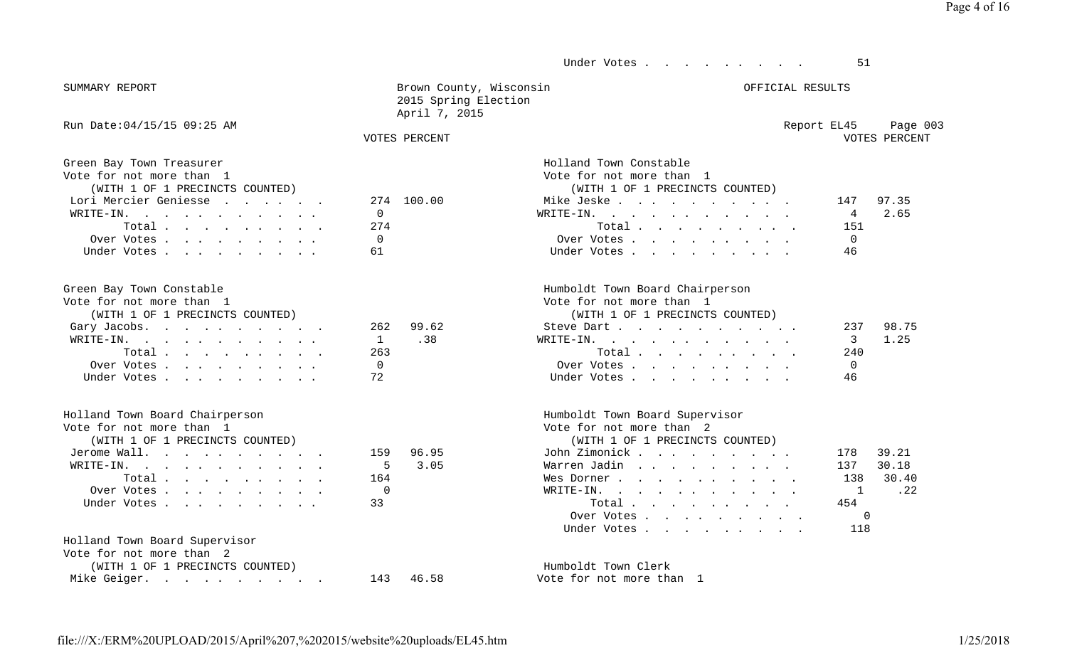#### Under Votes . . . . . . . . . 51

| SUMMARY | REPORT |
|---------|--------|
|         |        |
|         |        |

| SUMMARY REPORT | Brown County, Wisconsin | OFFICIAL RESULTS |  |
|----------------|-------------------------|------------------|--|
|                | 2015 Spring Election    |                  |  |
|                | April 7, 2015           |                  |  |

#### Run Date:04/15/15 09:25 AM 6003 Report EL45 Page 003 VOTES PERCENT

#### VOTES PERCENT VOTES PERCENT

| Green Bay Town Treasurer        |                |
|---------------------------------|----------------|
| Vote for not more than 1        |                |
| (WITH 1 OF 1 PRECINCTS COUNTED) |                |
| Lori Mercier Geniesse           | 2.74           |
| $\texttt{WRTTE-IN.}$            | $\overline{0}$ |
| Total.                          | 2.74           |
| Over Votes                      | $\bigcap$      |
| Under Votes                     | 61             |

| Green Bay Town Constable        |           | Humboldt Town Board Chairperson |        |       |
|---------------------------------|-----------|---------------------------------|--------|-------|
| Vote for not more than 1        |           | Vote for not more than 1        |        |       |
| (WITH 1 OF 1 PRECINCTS COUNTED) |           | (WITH 1 OF 1 PRECINCTS COUNTED) |        |       |
| Gary Jacobs.                    | 262 99.62 | Steve Dart                      | 237    | 98.75 |
| WRITE-IN. 1 . 38                |           | WRITE-IN.                       | 3 1.25 |       |
| Total $\cdots$                  | 263       | Total $\ldots$                  | 240    |       |
| Over Votes                      |           | Over Votes                      |        |       |
| Under Votes                     |           | Under Votes                     |        |       |

| Holland Town Board Chairperson  |                | Humboldt Town Board Supervisor                                                                                                                                                                          |              |
|---------------------------------|----------------|---------------------------------------------------------------------------------------------------------------------------------------------------------------------------------------------------------|--------------|
| Vote for not more than 1        |                | Vote for not more than 2                                                                                                                                                                                |              |
| (WITH 1 OF 1 PRECINCTS COUNTED) |                | (WITH 1 OF 1 PRECINCTS COUNTED)                                                                                                                                                                         |              |
| Jerome Wall.                    | 159 96.95      | John Zimonick                                                                                                                                                                                           | 39.21<br>178 |
| $\texttt{WRTTE-IN.}$            | 5 3.05         | Warren Jadin                                                                                                                                                                                            | 137 30.18    |
| Total $\cdots$                  | 164            | Wes Dorner                                                                                                                                                                                              | 138 30.40    |
| Over Votes                      | $\overline{0}$ | WRITE-IN. 1                                                                                                                                                                                             | $\ldots$ 22  |
| Under Votes 33                  |                | Total $\cdots$                                                                                                                                                                                          | 454          |
|                                 |                | $\bigcap_{x \in \mathbb{R}^n} \mathbb{T}^x \cup \mathbb{R}^x$ , $\bigcap_{x \in \mathbb{R}^n} \mathbb{T}^x$ , $\bigcap_{x \in \mathbb{R}^n} \mathbb{T}^x$ , $\bigcap_{x \in \mathbb{R}^n} \mathbb{T}^x$ |              |

## Holland Town Board Supervisor

| Vote for not more than 2        |           |
|---------------------------------|-----------|
| (WITH 1 OF 1 PRECINCTS COUNTED) |           |
| Mike Geiger.                    | 143 46.58 |

|   |          | Vote for not more than 1        |     |       |
|---|----------|---------------------------------|-----|-------|
|   |          | (WITH 1 OF 1 PRECINCTS COUNTED) |     |       |
|   | 4 100.00 | Mike Jeske                      | 147 | 97.35 |
|   |          | WRITE-IN.                       | 4   | 2.65  |
| 4 |          | Total                           | 151 |       |
|   |          | Over Votes                      |     |       |
|   |          | Under Votes                     |     |       |

#### Humboldt Town Board Chairperson

|  |  |  | Vote for not more than |  |  |
|--|--|--|------------------------|--|--|
|--|--|--|------------------------|--|--|

Holland Town Constable

#### (WITH 1 OF 1 PRECINCTS COUNTED) (WITH 1 OF 1 PRECINCTS COUNTED)

| Steve Dart  |  |  |  |  |               | 237 98.7 |
|-------------|--|--|--|--|---------------|----------|
| RITE-IN.    |  |  |  |  | $\mathcal{R}$ | 1.25     |
| Total       |  |  |  |  | 240           |          |
| Over Votes  |  |  |  |  |               |          |
| Under Votes |  |  |  |  | 46            |          |

### Humboldt Town Board Supervisor

#### (WITH 1 OF 1 PRECINCTS COUNTED) (WITH 1 OF 1 PRECINCTS COUNTED)

| Jerome Wall.   | 159 96.95 | John Zimonick   | 178 39.21 |
|----------------|-----------|-----------------|-----------|
| WRITE-IN.      | 5 3.05    | Warren Jadin    | 137 30.18 |
| Total          | 164       | Wes Dorner      | 138 30.40 |
| Over Votes     | $\Omega$  | WRITE-IN        | 1 22      |
| Under Votes 33 |           | Total $\ldots$  | 454       |
|                |           | Over Votes      |           |
|                |           | Under Votes 118 |           |

Humboldt Town Clerk Vote for not more than 1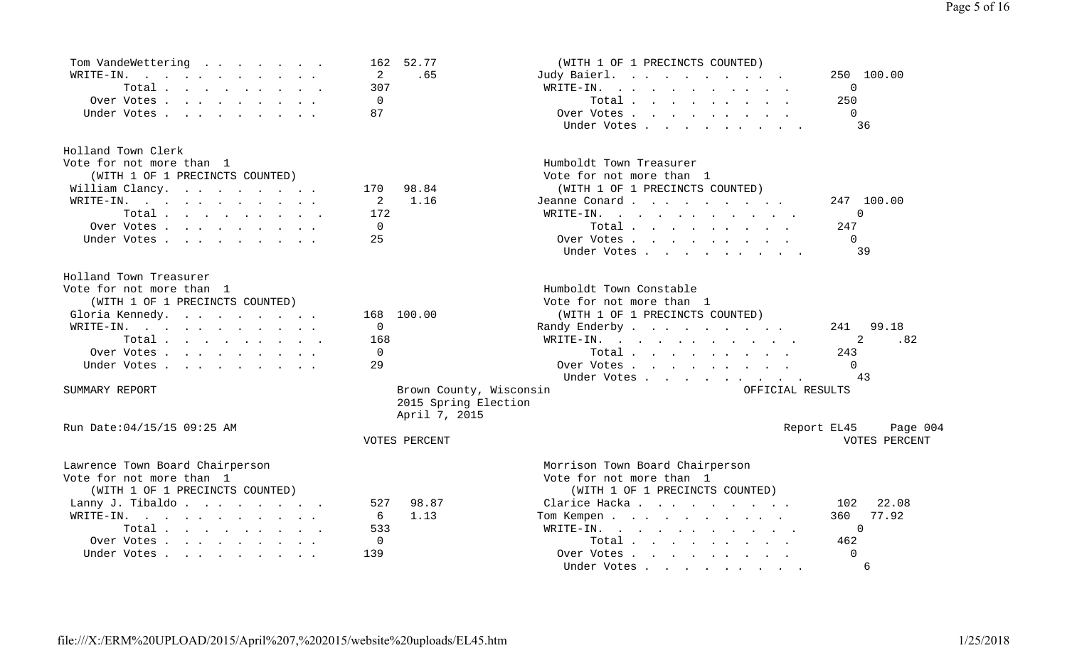| Tom VandeWettering<br>$\mathbf{r}$ , and $\mathbf{r}$ , and $\mathbf{r}$ , and $\mathbf{r}$ | 52.77<br>162            | (WITH 1 OF 1 PRECINCTS COUNTED)                                                                                                                                                                                                                |                         |
|---------------------------------------------------------------------------------------------|-------------------------|------------------------------------------------------------------------------------------------------------------------------------------------------------------------------------------------------------------------------------------------|-------------------------|
| WRITE-IN.                                                                                   | 2<br>.65                | Judy Baierl.                                                                                                                                                                                                                                   | 250 100.00              |
| Total                                                                                       | 307                     | WRITE-IN.<br>and the contract of the contract of the contract of the contract of the contract of                                                                                                                                               | 0                       |
| Over Votes                                                                                  | $\mathbf 0$             | Total                                                                                                                                                                                                                                          | 250                     |
| Under Votes                                                                                 | 87                      | Over Votes                                                                                                                                                                                                                                     | $\Omega$                |
|                                                                                             |                         | Under Votes                                                                                                                                                                                                                                    | 36                      |
| Holland Town Clerk                                                                          |                         |                                                                                                                                                                                                                                                |                         |
| Vote for not more than 1                                                                    |                         | Humboldt Town Treasurer                                                                                                                                                                                                                        |                         |
| (WITH 1 OF 1 PRECINCTS COUNTED)                                                             |                         | Vote for not more than 1                                                                                                                                                                                                                       |                         |
| William Clancy.                                                                             | 98.84<br>170            | (WITH 1 OF 1 PRECINCTS COUNTED)                                                                                                                                                                                                                |                         |
| WRITE-IN.                                                                                   | 2<br>1.16               | Jeanne Conard                                                                                                                                                                                                                                  | 247 100.00              |
| Total                                                                                       | 172                     | WRITE-IN.                                                                                                                                                                                                                                      | 0                       |
| Over Votes                                                                                  | $\mathbf 0$             | Total                                                                                                                                                                                                                                          | 247                     |
| Under Votes                                                                                 | 25                      | Over Votes                                                                                                                                                                                                                                     | $\Omega$                |
|                                                                                             |                         | Under Votes                                                                                                                                                                                                                                    | 39                      |
| Holland Town Treasurer                                                                      |                         |                                                                                                                                                                                                                                                |                         |
| Vote for not more than 1                                                                    |                         | Humboldt Town Constable                                                                                                                                                                                                                        |                         |
| (WITH 1 OF 1 PRECINCTS COUNTED)                                                             |                         | Vote for not more than 1                                                                                                                                                                                                                       |                         |
| Gloria Kennedy.                                                                             | 100.00<br>168           | (WITH 1 OF 1 PRECINCTS COUNTED)                                                                                                                                                                                                                |                         |
| WRITE-IN.                                                                                   | 0                       | Randy Enderby                                                                                                                                                                                                                                  | 99.18<br>241            |
| Total                                                                                       | 168                     | WRITE-IN.<br>$\mathbf{r}$ , and $\mathbf{r}$ , and $\mathbf{r}$ , and $\mathbf{r}$ , and $\mathbf{r}$                                                                                                                                          | .82<br>2                |
| Over Votes                                                                                  | $\mathbf 0$             | Total                                                                                                                                                                                                                                          | 243                     |
| Under Votes                                                                                 | 29                      | Over Votes                                                                                                                                                                                                                                     | $\Omega$                |
|                                                                                             |                         | Under Votes                                                                                                                                                                                                                                    | 43                      |
| SUMMARY REPORT                                                                              | Brown County, Wisconsin | OFFICIAL RESULTS                                                                                                                                                                                                                               |                         |
|                                                                                             | 2015 Spring Election    |                                                                                                                                                                                                                                                |                         |
|                                                                                             | April 7, 2015           |                                                                                                                                                                                                                                                |                         |
| Run Date:04/15/15 09:25 AM                                                                  |                         |                                                                                                                                                                                                                                                | Report EL45<br>Page 004 |
|                                                                                             | VOTES PERCENT           |                                                                                                                                                                                                                                                | VOTES PERCENT           |
| Lawrence Town Board Chairperson                                                             |                         | Morrison Town Board Chairperson                                                                                                                                                                                                                |                         |
| Vote for not more than 1                                                                    |                         | Vote for not more than 1                                                                                                                                                                                                                       |                         |
| (WITH 1 OF 1 PRECINCTS COUNTED)                                                             |                         | (WITH 1 OF 1 PRECINCTS COUNTED)                                                                                                                                                                                                                |                         |
| Lanny J. Tibaldo.                                                                           | 98.87<br>527            | Clarice Hacka                                                                                                                                                                                                                                  | 22.08<br>102            |
| WRITE-IN.                                                                                   | 6<br>1.13               | Tom Kempen                                                                                                                                                                                                                                     | 77.92<br>360            |
| Total.                                                                                      | 533                     | WRITE-IN.<br>$\mathbf{r}$ . The contract of the contract of the contract of the contract of the contract of the contract of the contract of the contract of the contract of the contract of the contract of the contract of the contract of th | $\Omega$                |
| Over Votes                                                                                  | $\mathbf 0$             | Total                                                                                                                                                                                                                                          | 462                     |
| Under Votes                                                                                 | 139                     | Over Votes                                                                                                                                                                                                                                     | $\Omega$                |
|                                                                                             |                         | Under Votes                                                                                                                                                                                                                                    | 6                       |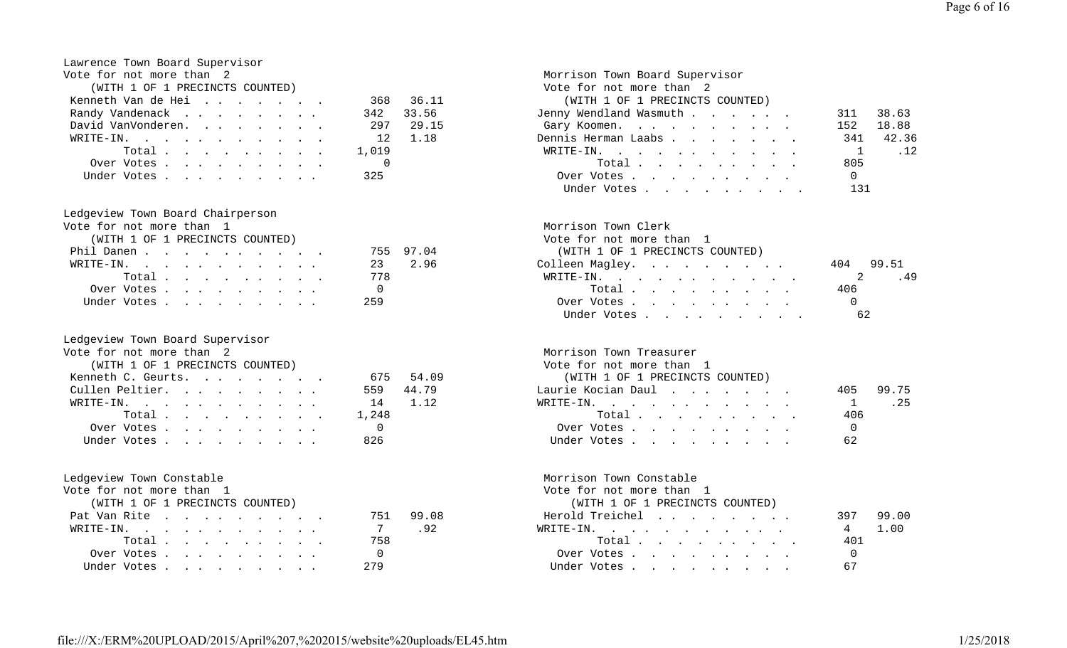| Lawrence Town Board Supervisor  |                |      |
|---------------------------------|----------------|------|
| Vote for not more than 2        |                |      |
| (WITH 1 OF 1 PRECINCTS COUNTED) |                |      |
| Kenneth Van de Hei              | 368 36         |      |
| Randy Vandenack                 | 342            | 33.1 |
| David VanVonderen.              | 297            | 29   |
| WRITE-IN.                       | $12 \quad 1.1$ |      |
| Total $\cdot$                   | 1,019          |      |
| Over Votes                      | $\overline{0}$ |      |
| Under Votes                     | 325            |      |

### Ledgeview Town Board Chairperson

| $\mathbf{v}$ . The state in the state of $\mathbf{v}$ is the state of $\mathbf{v}$ in the state of $\mathbf{v}$ is the state of $\mathbf{v}$ | $1.131 \pm 1.1311$ $1.111$ $1.111$ |     |
|----------------------------------------------------------------------------------------------------------------------------------------------|------------------------------------|-----|
| (WITH 1 OF 1 PRECINCTS COUNTED)                                                                                                              | Vote for not more than 1           |     |
| Phil Danen<br>755 97.04                                                                                                                      | (WITH 1 OF 1 PRECINCTS COUNTED)    |     |
| 23 2.96<br>WRITE-IN.                                                                                                                         | Colleen Magley. 404                |     |
| Total 778                                                                                                                                    | WRITE-IN.                          |     |
| Over Votes                                                                                                                                   | Total                              | 406 |
| -259<br>Under Votes                                                                                                                          | Over Votes                         |     |

## Ledgeview Town Board Supervisor

| Vote for not more than 2        |           | Morrison Town Treasurer         |                |
|---------------------------------|-----------|---------------------------------|----------------|
| (WITH 1 OF 1 PRECINCTS COUNTED) |           | Vote for not more than 1        |                |
| Kenneth C. Geurts.              | 675 54.09 | (WITH 1 OF 1 PRECINCTS COUNTED) |                |
| Cullen Peltier.                 | 559 44.79 | Laurie Kocian Daul              | 99.75<br>405   |
| WRITE-IN. 14 1.12               |           | WRITE-IN. 1                     | . 25           |
| Total 1,248                     |           | Total $\cdots$                  | 406            |
| Over Votes 0                    |           | Over Votes                      | $\overline{0}$ |
| Under Votes 826                 |           | Under Votes                     | 62             |

Vote for not more than 1 Vote for not more than 1

| (WITH 1 OF 1 PRECINCTS COUNTED) |           | (WITH 1 OF 1 PRECINCTS COUNTED) |              |
|---------------------------------|-----------|---------------------------------|--------------|
| Pat Van Rite                    | 751 99.08 | Herold Treichel                 | 99.00<br>397 |
| WRITE-IN.                       | .92       | WRITE-IN.                       | 4 1.00       |
| Total 758                       |           | Total                           | 401          |
| Over Votes                      |           | Over Votes                      |              |
| Under Votes                     | 279       | Under Votes                     |              |

### Morrison Town Board Supervisor Vote for not more than 2 .11 (WITH 1 OF 1 PRECINCTS COUNTED) Randy Vandenack . . . . . . . . 342 33.56 Jenny Wendland Wasmuth . . . . . . 311 38.63 15 Gary Koomen. . . . . . . . . . 152 18.88 18 18 Dennis Herman Laabs . . . . . . . 341 42.36 WRITE-IN. . . . . . . . . . . . 1 .12 Total . . . . . . . . . 805 Under Votes . . . . . . . . . 325 Over Votes . . . . . . . . . 0Under Votes . . . . . . . . . . 131

| Vote for not more than 1        |           | Morrison Town Clerk                                           |           |
|---------------------------------|-----------|---------------------------------------------------------------|-----------|
| (WITH 1 OF 1 PRECINCTS COUNTED) |           | Vote for not more than 1                                      |           |
| Phil Danen                      | 755 97.04 | (WITH 1 OF 1 PRECINCTS COUNTED)                               |           |
| WRITE-IN.                       | 23 2.96   | Colleen Magley.                                               | 404 99.51 |
| Total                           | 778       | $\texttt{WRTTE-IN.}$                                          |           |
| Over Votes                      |           | $Total \cdot \cdot \cdot \cdot \cdot \cdot \cdot \cdot \cdot$ | 406       |
| Under Votes                     | 259       | Over Votes                                                    |           |
|                                 |           | Under Votes 62                                                |           |
|                                 |           |                                                               |           |

### Morrison Town Treasurer

|  |  |  |                                 |                                                                 |                       | 405 99.75 |
|--|--|--|---------------------------------|-----------------------------------------------------------------|-----------------------|-----------|
|  |  |  |                                 |                                                                 |                       | 1.25      |
|  |  |  |                                 |                                                                 | 406                   |           |
|  |  |  |                                 |                                                                 |                       |           |
|  |  |  |                                 |                                                                 | 62                    |           |
|  |  |  | (WITH 1 OF 1 PRECINCTS COUNTED) | Laurie Kocian Daul  .  .  .  .  .  .<br>WRITE-IN.<br>Over Votes | Total.<br>Under Votes |           |

### Ledgeview Town Constable Morrison Town Constable

| (WITH 1 OF 1 PRECINCTS COUNTED) |  |  |          |  |
|---------------------------------|--|--|----------|--|
| Herold Treichel                 |  |  | 397 99.0 |  |
| RITE-IN.                        |  |  | 4 1.00   |  |
| Total                           |  |  | 401      |  |
| Over Votes                      |  |  | - 0      |  |
| Under Votes                     |  |  | 67       |  |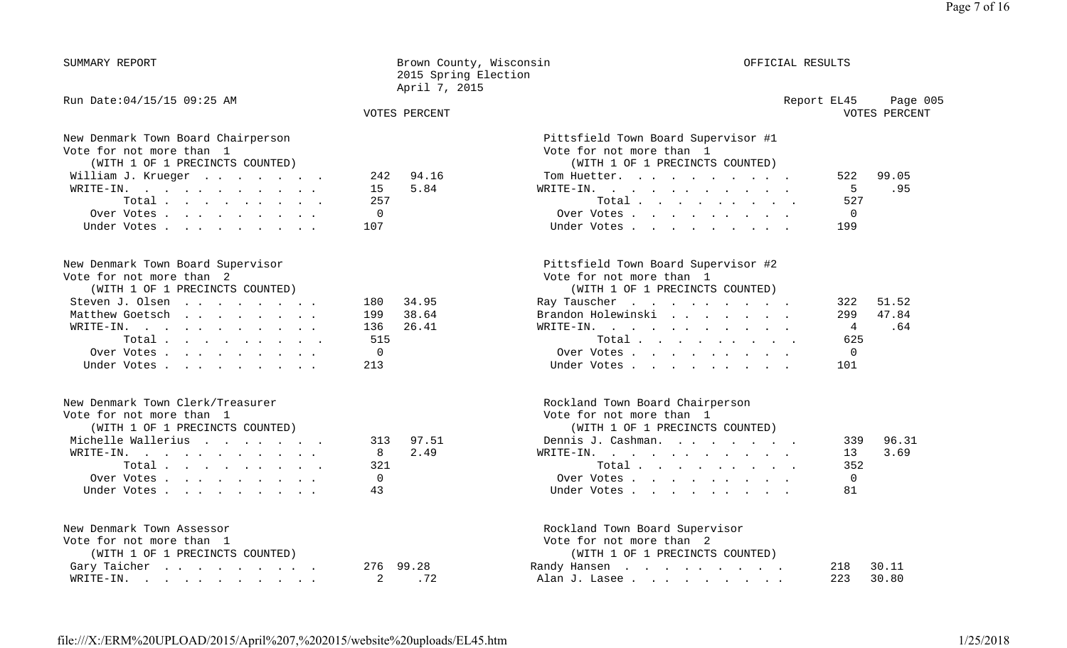| SUMMARY REPORT                                                                                                                                                                                                                                                                                       | Brown County, Wisconsin<br>2015 Spring Election<br>April 7, 2015       |                                                                                                                                                                                                                                                                                                                 | OFFICIAL RESULTS |                                                                    |  |
|------------------------------------------------------------------------------------------------------------------------------------------------------------------------------------------------------------------------------------------------------------------------------------------------------|------------------------------------------------------------------------|-----------------------------------------------------------------------------------------------------------------------------------------------------------------------------------------------------------------------------------------------------------------------------------------------------------------|------------------|--------------------------------------------------------------------|--|
| Run Date: 04/15/15 09:25 AM                                                                                                                                                                                                                                                                          | <b>VOTES PERCENT</b>                                                   |                                                                                                                                                                                                                                                                                                                 | Report EL45      | Page 005<br>VOTES PERCENT                                          |  |
| New Denmark Town Board Chairperson<br>Vote for not more than 1<br>(WITH 1 OF 1 PRECINCTS COUNTED)<br>William J. Krueger<br>WRITE-IN.<br>$\mathbf{r}$ , and $\mathbf{r}$ , and $\mathbf{r}$ , and $\mathbf{r}$ , and $\mathbf{r}$<br>Total<br>Over Votes<br>Under Votes                               | 94.16<br>242<br>5.84<br>15<br>257<br>$\mathbf 0$<br>107                | Pittsfield Town Board Supervisor #1<br>Vote for not more than 1<br>(WITH 1 OF 1 PRECINCTS COUNTED)<br>Tom Huetter.<br>WRITE-IN.<br>. The contract of the contract of the contract of the contract of the contract of the contract of the $\alpha$<br>Total<br>Over Votes<br>Under Votes                         |                  | 522<br>99.05<br>5<br>.95<br>527<br>$\mathbf 0$<br>199              |  |
| New Denmark Town Board Supervisor<br>Vote for not more than 2<br>(WITH 1 OF 1 PRECINCTS COUNTED)<br>Steven J. Olsen<br>Matthew Goetsch<br>$\mathbf{r}$ , $\mathbf{r}$ , $\mathbf{r}$ , $\mathbf{r}$ , $\mathbf{r}$ , $\mathbf{r}$ , $\mathbf{r}$<br>WRITE-IN.<br>Total.<br>Over Votes<br>Under Votes | 34.95<br>180<br>38.64<br>199<br>136<br>26.41<br>515<br>$\Omega$<br>213 | Pittsfield Town Board Supervisor #2<br>Vote for not more than 1<br>(WITH 1 OF 1 PRECINCTS COUNTED)<br>Ray Tauscher<br>the contract of the contract of the contract of the contract of the contract of the contract of the contract of<br>Brandon Holewinski<br>WRITE-IN.<br>Total.<br>Over Votes<br>Under Votes |                  | 51.52<br>322<br>47.84<br>299<br>4<br>.64<br>625<br>$\Omega$<br>101 |  |
| New Denmark Town Clerk/Treasurer<br>Vote for not more than 1<br>(WITH 1 OF 1 PRECINCTS COUNTED)<br>Michelle Wallerius<br>WRITE-IN.<br>Total<br>Over Votes<br>Under Votes                                                                                                                             | 97.51<br>313<br>2.49<br>8<br>321<br>$\Omega$<br>43                     | Rockland Town Board Chairperson<br>Vote for not more than 1<br>(WITH 1 OF 1 PRECINCTS COUNTED)<br>Dennis J. Cashman.<br>WRITE-IN.<br>Total<br>Over Votes<br>Under Votes                                                                                                                                         |                  | 96.31<br>339<br>3.69<br>13<br>352<br>0<br>81                       |  |
| New Denmark Town Assessor<br>Vote for not more than 1<br>(WITH 1 OF 1 PRECINCTS COUNTED)<br>Gary Taicher<br>WRITE-IN.                                                                                                                                                                                | 99.28<br>276<br>2<br>.72                                               | Rockland Town Board Supervisor<br>Vote for not more than 2<br>(WITH 1 OF 1 PRECINCTS COUNTED)<br>Randy Hansen<br>Alan J. Lasee                                                                                                                                                                                  |                  | 30.11<br>218<br>223<br>30.80                                       |  |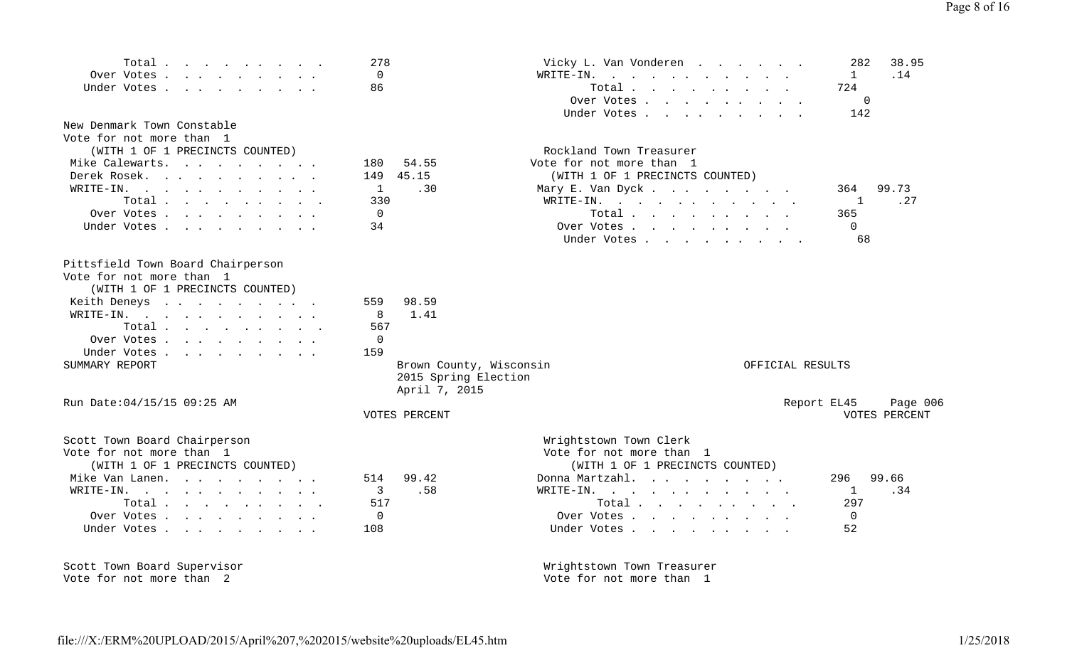| Total<br>Over Votes<br>Under Votes<br>New Denmark Town Constable<br>Vote for not more than 1<br>(WITH 1 OF 1 PRECINCTS COUNTED)<br>Mike Calewarts.                                                                                                                                                                                                                                                        | 278<br>$\Omega$<br>86<br>180<br>54.55                            | Vicky L. Van Vonderen<br><b>Contract Contract Contract</b><br>WRITE-IN.<br>the contract of the contract of the contract of the contract of the contract of<br>Total<br>Over Votes<br>Under Votes<br>Rockland Town Treasurer<br>Vote for not more than 1 | 38.95<br>282<br>.14<br>$\mathbf{1}$<br>724<br>$\Omega$<br>142 |
|-----------------------------------------------------------------------------------------------------------------------------------------------------------------------------------------------------------------------------------------------------------------------------------------------------------------------------------------------------------------------------------------------------------|------------------------------------------------------------------|---------------------------------------------------------------------------------------------------------------------------------------------------------------------------------------------------------------------------------------------------------|---------------------------------------------------------------|
| Derek Rosek.<br>WRITE-IN.<br>Total<br>Over Votes<br>Under Votes                                                                                                                                                                                                                                                                                                                                           | 45.15<br>149<br>$\mathbf{1}$<br>.30<br>330<br>$\mathbf 0$<br>34  | (WITH 1 OF 1 PRECINCTS COUNTED)<br>Mary E. Van Dyck<br>WRITE-IN.<br>Total $\cdots$<br>Over Votes<br>Under Votes                                                                                                                                         | 99.73<br>364<br>.27<br>1<br>365<br>$\Omega$<br>68             |
| Pittsfield Town Board Chairperson<br>Vote for not more than 1<br>(WITH 1 OF 1 PRECINCTS COUNTED)<br>Keith Deneys<br>WRITE-IN.<br>$\mathbf{r}$ . The contract of the contract of the contract of the contract of the contract of the contract of the contract of the contract of the contract of the contract of the contract of the contract of the contract of th<br>Total<br>Over Votes.<br>Under Votes | 559<br>98.59<br>1.41<br>8<br>567<br>$\mathbf 0$<br>159           |                                                                                                                                                                                                                                                         |                                                               |
| SUMMARY REPORT                                                                                                                                                                                                                                                                                                                                                                                            | Brown County, Wisconsin<br>2015 Spring Election<br>April 7, 2015 | OFFICIAL RESULTS                                                                                                                                                                                                                                        |                                                               |
| Run Date: 04/15/15 09:25 AM                                                                                                                                                                                                                                                                                                                                                                               | VOTES PERCENT                                                    |                                                                                                                                                                                                                                                         | Report EL45<br>Page 006<br>VOTES PERCENT                      |
| Scott Town Board Chairperson<br>Vote for not more than 1<br>(WITH 1 OF 1 PRECINCTS COUNTED)<br>Mike Van Lanen.<br>WRITE-IN.<br>Total $\cdots$<br>Over Votes<br>Under Votes                                                                                                                                                                                                                                | 99.42<br>514<br>3<br>.58<br>517<br>0<br>108                      | Wrightstown Town Clerk<br>Vote for not more than 1<br>(WITH 1 OF 1 PRECINCTS COUNTED)<br>Donna Martzahl.<br>WRITE-IN.<br>Total $\cdots$<br>Over Votes<br>Under Votes                                                                                    | 296<br>99.66<br>.34<br>1<br>297<br>$\Omega$<br>52             |
| Scott Town Board Supervisor                                                                                                                                                                                                                                                                                                                                                                               |                                                                  | Wrightstown Town Treasurer                                                                                                                                                                                                                              |                                                               |

file:///X:/ERM%20UPLOAD/2015/April%207,%202015/website%20uploads/EL45.ht m

Vote for not more than 2 Vote for not more than 1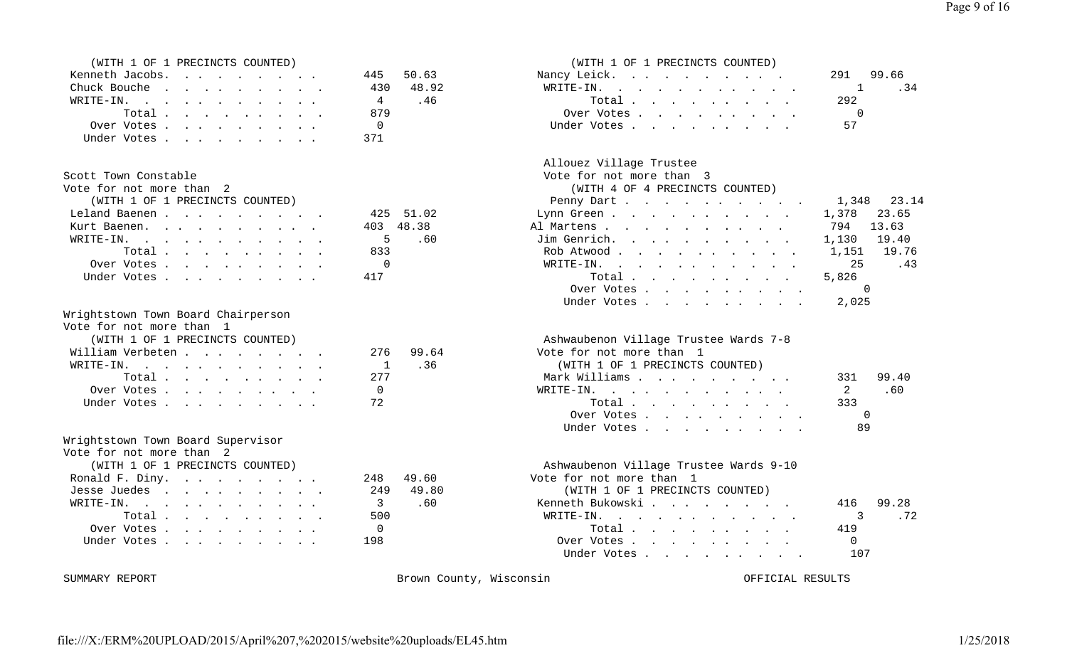| M. |  | PRECINCTS COUNTED) |  |
|----|--|--------------------|--|

| Kenneth Jacobs. |  |  |  |  | 445 50.63 |           |
|-----------------|--|--|--|--|-----------|-----------|
| Chuck Bouche    |  |  |  |  |           | 430 48.92 |
| WRITE-IN.       |  |  |  |  | 4         | $-46$     |
| Total           |  |  |  |  | 879       |           |
| Over Votes      |  |  |  |  | - 0       |           |
| Under Votes     |  |  |  |  | 371       |           |

### Scott Town Constable  $\sim$  3

| Vote for not more than 2        |  |  |  |  |              |           |
|---------------------------------|--|--|--|--|--------------|-----------|
| (WITH 1 OF 1 PRECINCTS COUNTED) |  |  |  |  |              |           |
| Leland Baenen                   |  |  |  |  |              | 425 51.0  |
| Kurt Baenen.                    |  |  |  |  |              | 403 48.38 |
| WRITE-IN.                       |  |  |  |  | $5 \tcdot 6$ |           |
| Total.                          |  |  |  |  | 833          |           |
| Over Votes                      |  |  |  |  | $\bigcirc$   |           |
| Under Votes, , , , , , , , , ,  |  |  |  |  |              |           |

#### Wrightstown Town Board Chairperson

|  |  |  |  | Vote for not more than 1 |  |  |
|--|--|--|--|--------------------------|--|--|
|--|--|--|--|--------------------------|--|--|

|                  | (WITH 1 OF 1 PRECINCTS COUNTED) |  |  |  |  |     |     |
|------------------|---------------------------------|--|--|--|--|-----|-----|
| William Verbeten |                                 |  |  |  |  | 276 | 99. |
| WRITE-IN.        |                                 |  |  |  |  |     | . 3 |
|                  | Total $\cdots$                  |  |  |  |  | 277 |     |
|                  | Over Votes                      |  |  |  |  |     |     |
|                  | Under Votes                     |  |  |  |  | 72  |     |

| Wrightstown Town Board Supervisor |  |  |
|-----------------------------------|--|--|
|                                   |  |  |

| Vote for not more than 2        |           |                                        |      |  |  |  |
|---------------------------------|-----------|----------------------------------------|------|--|--|--|
| (WITH 1 OF 1 PRECINCTS COUNTED) |           | Ashwaubenon Village Trustee Wards 9-10 |      |  |  |  |
| Ronald F. Diny.                 | 248 49.60 | Vote for not more than 1               |      |  |  |  |
| Jesse Juedes                    | 249 49.80 | (WITH 1 OF 1 PRECINCTS COUNTED)        |      |  |  |  |
| WRITE-IN.                       | 3.60      | Kenneth Bukowski                       | 416  |  |  |  |
| Total                           | 500       | WRITE-IN.                              |      |  |  |  |
| Over Votes                      | $\Omega$  | Total                                  | 41 S |  |  |  |
| Under Votes 198                 |           | Over Votes                             |      |  |  |  |

### (WITH 1 OF 1 PRECINCTS COUNTED) (WITH 1 OF 1 PRECINCTS COUNTED) Nancy Leick. . . . . . . . . . . 291 99.66 WRITE-IN. . . . . . . . . . .  $1$  .34 WRITE-IN. . . . . . . . . . . 4 .46 Total . . . . . . . . . 292Over Votes . . . . . . . . . . 0 Under Votes . . . . . . . . . . 57

### Allouez Village Trustee

| pcorr iowil collorabic          |           | $VULE$ LOL HOL MOLE LHAIL J     |             |
|---------------------------------|-----------|---------------------------------|-------------|
| Vote for not more than  2       |           | (WITH 4 OF 4 PRECINCTS COUNTED) |             |
| (WITH 1 OF 1 PRECINCTS COUNTED) |           | Penny Dart. 1,348 23.14         |             |
| Leland Baenen 425 51.02         |           | Lynn Green                      | 1,378 23.65 |
| Kurt Baenen.                    | 403 48.38 | Al Martens 794 13.63            |             |
| WRITE-IN.                       | 5.60      | Jim Genrich. 1,130 19.40        |             |
| Total                           | 833       | Rob Atwood 1,151 19.76          |             |
| Over Votes                      |           | WRITE-IN. 25                    | .43         |
| Under Votes 417                 |           |                                 | 5,826       |
|                                 |           | Over Votes 0                    |             |
|                                 |           | Under Votes 2,025               |             |
|                                 |           |                                 |             |

### Ashwaubenon Village Trustee Wards 7-8 64 Vote for not more than 1 MOTH-INGLETIC (WITH 1 OF 1 PRECINCTS COUNTED) Mark Williams . . . . . . . . . . 331 99.40 WRITE-IN. . . . . . . . . . . . 2 .60 Total . . . . . . . . . . 333 Over Votes . . . . . . . . . 0 Under Votes . . . . . . . . . . 89

| (WITH 1 OF 1 PRECINCTS COUNTED) |           | Ashwaubenon Village Trustee Wards 9-10 |              |
|---------------------------------|-----------|----------------------------------------|--------------|
| Ronald F. Diny.                 | 248 49.60 | Vote for not more than 1               |              |
| Jesse Juedes                    | 249 49.80 | (WITH 1 OF 1 PRECINCTS COUNTED)        |              |
| WRITE-IN.                       | 3.60      | Kenneth Bukowski                       | 99.28<br>416 |
| Total                           | 500       | WRITE-IN.                              | . 72         |
| Over Votes                      |           | Total $\cdots$                         | 419          |
| Under Votes                     | 198       | Over Votes                             |              |
|                                 |           | Under Votes                            | 107          |

SUMMARY REPORT **Brown County, Wisconsin** Brown County, Wisconsin OFFICIAL RESULTS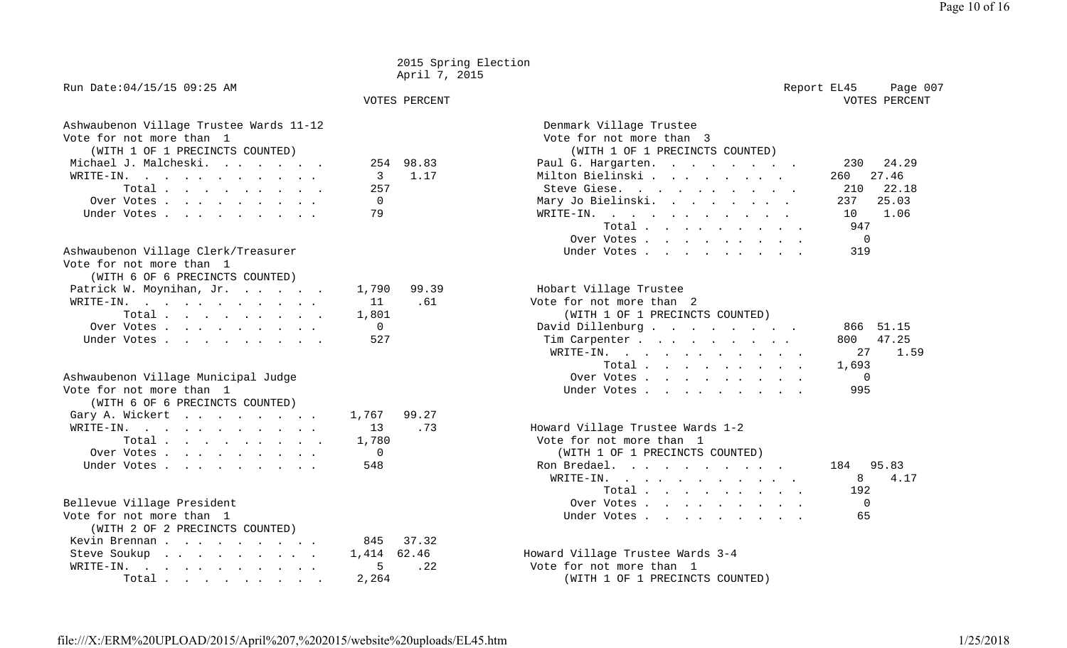|                                                                                                                                                                                                                                                                       |                                  | 2015 Spring Election<br>April 7, 2015 |                                                                                                                                                                                                                                                                                                                                                                                                                                                                                                                                               |
|-----------------------------------------------------------------------------------------------------------------------------------------------------------------------------------------------------------------------------------------------------------------------|----------------------------------|---------------------------------------|-----------------------------------------------------------------------------------------------------------------------------------------------------------------------------------------------------------------------------------------------------------------------------------------------------------------------------------------------------------------------------------------------------------------------------------------------------------------------------------------------------------------------------------------------|
| Run Date: 04/15/15 09:25 AM                                                                                                                                                                                                                                           |                                  | VOTES PERCENT                         | Report EL45<br>Page 007<br>VOTES PERCENT                                                                                                                                                                                                                                                                                                                                                                                                                                                                                                      |
| Ashwaubenon Village Trustee Wards 11-12<br>Vote for not more than 1<br>(WITH 1 OF 1 PRECINCTS COUNTED)<br>Michael J. Malcheski.<br>WRITE-IN.<br>the contract of the contract of the contract of the contract of the contract of<br>Total<br>Over Votes<br>Under Votes | 254<br>3<br>257<br>0<br>79       | 98.83<br>1.17                         | Denmark Village Trustee<br>Vote for not more than 3<br>(WITH 1 OF 1 PRECINCTS COUNTED)<br>Paul G. Hargarten.<br>230<br>24.29<br>Milton Bielinski<br>260<br>27.46<br>22.18<br>Steve Giese.<br>210<br>25.03<br>237<br>Mary Jo Bielinski.<br>and the contract of the contract of the contract of the contract of the contract of the contract of the contract of the contract of the contract of the contract of the contract of the contract of the contract of the contra<br>1.06<br>WRITE-IN.<br>10<br>Total<br>947<br>$\Omega$<br>Over Votes |
| Ashwaubenon Village Clerk/Treasurer<br>Vote for not more than 1<br>(WITH 6 OF 6 PRECINCTS COUNTED)                                                                                                                                                                    |                                  |                                       | 319<br>Under Votes                                                                                                                                                                                                                                                                                                                                                                                                                                                                                                                            |
| Patrick W. Moynihan, Jr.<br>WRITE-IN.<br>$\mathbf{r}$ , and $\mathbf{r}$ , and $\mathbf{r}$ , and $\mathbf{r}$ , and $\mathbf{r}$<br>Total<br>Over Votes<br>Under Votes                                                                                               | 1,790<br>11<br>1,801<br>0<br>527 | 99.39<br>.61                          | Hobart Village Trustee<br>Vote for not more than 2<br>(WITH 1 OF 1 PRECINCTS COUNTED)<br>David Dillenburg<br>866<br>51.15<br>47.25<br>800<br>Tim Carpenter<br><b>Contract Contract Contract Contract</b><br>1.59<br>WRITE-IN.<br>27<br>$\mathbf{r}$ . The set of the set of the set of the set of the set of the set of the set of the set of the set of the set of the set of the set of the set of the set of the set of the set of the set of the set of the set of t<br>1,693<br>Total                                                    |
| Ashwaubenon Village Municipal Judge<br>Vote for not more than 1<br>(WITH 6 OF 6 PRECINCTS COUNTED)                                                                                                                                                                    |                                  |                                       | $\overline{0}$<br>Over Votes,<br>995<br>Under Votes                                                                                                                                                                                                                                                                                                                                                                                                                                                                                           |
| Gary A. Wickert<br>$\texttt{WRITE-IN.}$<br>Total<br>Over Votes<br>Under Votes                                                                                                                                                                                         | 1,767<br>13<br>1,780<br>0<br>548 | 99.27<br>.73                          | Howard Village Trustee Wards 1-2<br>Vote for not more than 1<br>(WITH 1 OF 1 PRECINCTS COUNTED)<br>95.83<br>Ron Bredael.<br>184<br>$\mathbf{r}$ , and $\mathbf{r}$ , and $\mathbf{r}$ , and $\mathbf{r}$ , and $\mathbf{r}$<br>$\texttt{WRTTE-IN.}$<br>8<br>4.17<br>Total.<br>192                                                                                                                                                                                                                                                             |
| Bellevue Village President<br>Vote for not more than 1<br>(WITH 2 OF 2 PRECINCTS COUNTED)                                                                                                                                                                             |                                  |                                       | $\mathbf 0$<br>Over Votes<br>65<br>Under Votes                                                                                                                                                                                                                                                                                                                                                                                                                                                                                                |
| Kevin Brennan<br>Steve Soukup<br>$\mathbf{r}$ , and $\mathbf{r}$ , and $\mathbf{r}$ , and $\mathbf{r}$<br>WRITE-IN.<br>$\mathbf{r}$ , and $\mathbf{r}$ , and $\mathbf{r}$ , and $\mathbf{r}$<br>Total                                                                 | 845<br>1,414<br>5<br>2,264       | 37.32<br>62.46<br>. 22                | Howard Village Trustee Wards 3-4<br>Vote for not more than 1<br>(WITH 1 OF 1 PRECINCTS COUNTED)                                                                                                                                                                                                                                                                                                                                                                                                                                               |

Page 10 of 1 6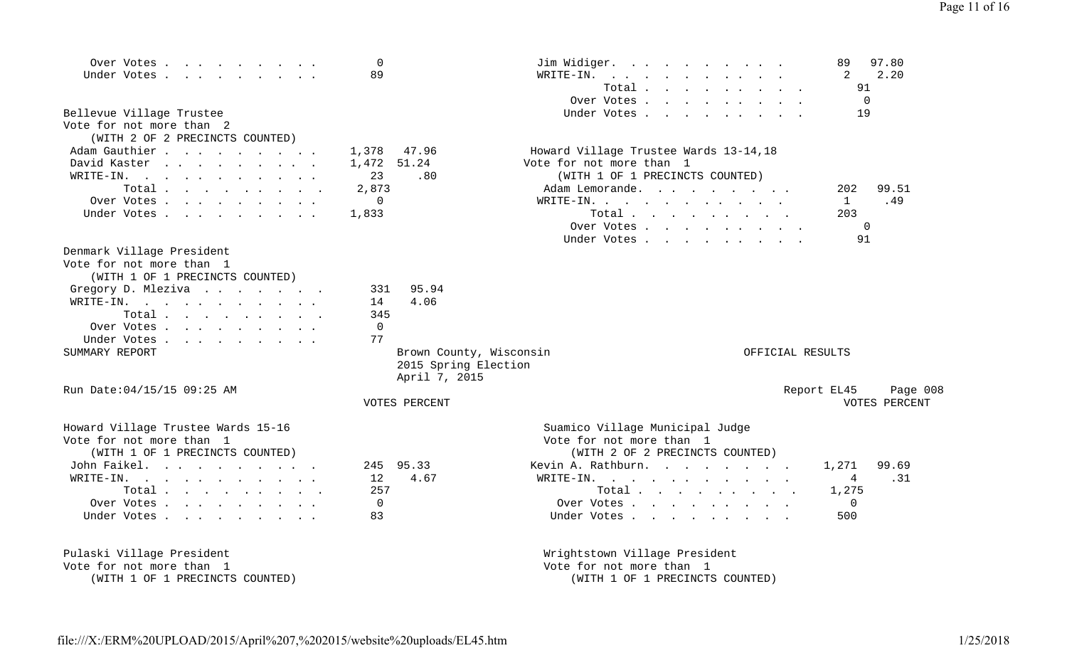| Over Votes<br>Under Votes                                                                     | 0<br>89                 | Jim Widiger.<br>$\mathbf{r}$ , and $\mathbf{r}$ , and $\mathbf{r}$ , and $\mathbf{r}$ , and $\mathbf{r}$<br>WRITE-IN.<br>$\mathbf{r}$ , $\mathbf{r}$ , $\mathbf{r}$ , $\mathbf{r}$ , $\mathbf{r}$ , $\mathbf{r}$ , $\mathbf{r}$ | 97.80<br>89<br>2.20<br>2 |
|-----------------------------------------------------------------------------------------------|-------------------------|---------------------------------------------------------------------------------------------------------------------------------------------------------------------------------------------------------------------------------|--------------------------|
|                                                                                               |                         | Total                                                                                                                                                                                                                           | 91                       |
|                                                                                               |                         | Over Votes                                                                                                                                                                                                                      | $\Omega$                 |
| Bellevue Village Trustee                                                                      |                         | Under Votes                                                                                                                                                                                                                     | 19                       |
| Vote for not more than 2                                                                      |                         |                                                                                                                                                                                                                                 |                          |
| (WITH 2 OF 2 PRECINCTS COUNTED)                                                               |                         |                                                                                                                                                                                                                                 |                          |
| Adam Gauthier                                                                                 | 1,378<br>47.96          | Howard Village Trustee Wards 13-14,18                                                                                                                                                                                           |                          |
| David Kaster                                                                                  | 51.24<br>1,472          | Vote for not more than 1                                                                                                                                                                                                        |                          |
| WRITE-IN.                                                                                     | 23<br>.80               | (WITH 1 OF 1 PRECINCTS COUNTED)                                                                                                                                                                                                 |                          |
| Total $\cdots$                                                                                | 2,873                   | Adam Lemorande.                                                                                                                                                                                                                 | 99.51<br>202             |
| Over Votes                                                                                    | 0                       |                                                                                                                                                                                                                                 | .49<br>$\mathbf{1}$      |
|                                                                                               | 1,833                   | WRITE-IN.                                                                                                                                                                                                                       | 203                      |
| Under Votes                                                                                   |                         | Total                                                                                                                                                                                                                           | $\Omega$                 |
|                                                                                               |                         | Over Votes                                                                                                                                                                                                                      | 91                       |
|                                                                                               |                         | Under Votes                                                                                                                                                                                                                     |                          |
| Denmark Village President                                                                     |                         |                                                                                                                                                                                                                                 |                          |
| Vote for not more than 1                                                                      |                         |                                                                                                                                                                                                                                 |                          |
| (WITH 1 OF 1 PRECINCTS COUNTED)                                                               |                         |                                                                                                                                                                                                                                 |                          |
| Gregory D. Mleziva                                                                            | 95.94<br>331            |                                                                                                                                                                                                                                 |                          |
| WRITE-IN.<br>$\mathcal{A}$ . The second contribution of the second contribution $\mathcal{A}$ | 4.06<br>14              |                                                                                                                                                                                                                                 |                          |
| Total                                                                                         | 345                     |                                                                                                                                                                                                                                 |                          |
| Over Votes.                                                                                   | $\mathbf 0$             |                                                                                                                                                                                                                                 |                          |
| Under Votes                                                                                   | 77                      |                                                                                                                                                                                                                                 |                          |
| SUMMARY REPORT                                                                                | Brown County, Wisconsin | OFFICIAL RESULTS                                                                                                                                                                                                                |                          |
|                                                                                               | 2015 Spring Election    |                                                                                                                                                                                                                                 |                          |
|                                                                                               | April 7, 2015           |                                                                                                                                                                                                                                 |                          |
| Run Date: 04/15/15 09:25 AM                                                                   |                         |                                                                                                                                                                                                                                 | Report EL45<br>Page 008  |
|                                                                                               | VOTES PERCENT           |                                                                                                                                                                                                                                 | VOTES PERCENT            |
| Howard Village Trustee Wards 15-16                                                            |                         | Suamico Village Municipal Judge                                                                                                                                                                                                 |                          |
| Vote for not more than 1                                                                      |                         | Vote for not more than 1                                                                                                                                                                                                        |                          |
| (WITH 1 OF 1 PRECINCTS COUNTED)                                                               |                         | (WITH 2 OF 2 PRECINCTS COUNTED)                                                                                                                                                                                                 |                          |
| John Faikel.                                                                                  | 95.33<br>245            | Kevin A. Rathburn.                                                                                                                                                                                                              | 99.69<br>1,271           |
| WRITE-IN.                                                                                     | 4.67<br>12              | WRITE-IN.                                                                                                                                                                                                                       | .31<br>4                 |
| Total $\cdots$                                                                                | 257                     | Total                                                                                                                                                                                                                           | 1,275                    |
| Over Votes.                                                                                   | 0                       | Over Votes                                                                                                                                                                                                                      | $\overline{0}$           |
| Under Votes                                                                                   | 83                      | Under Votes                                                                                                                                                                                                                     | 500                      |
|                                                                                               |                         |                                                                                                                                                                                                                                 |                          |
|                                                                                               |                         |                                                                                                                                                                                                                                 |                          |
| Pulaski Village President                                                                     |                         | Wrightstown Village President                                                                                                                                                                                                   |                          |
| Vote for not more than 1                                                                      |                         | Vote for not more than 1                                                                                                                                                                                                        |                          |
| (WITH 1 OF 1 PRECINCTS COUNTED)                                                               |                         | (WITH 1 OF 1 PRECINCTS COUNTED)                                                                                                                                                                                                 |                          |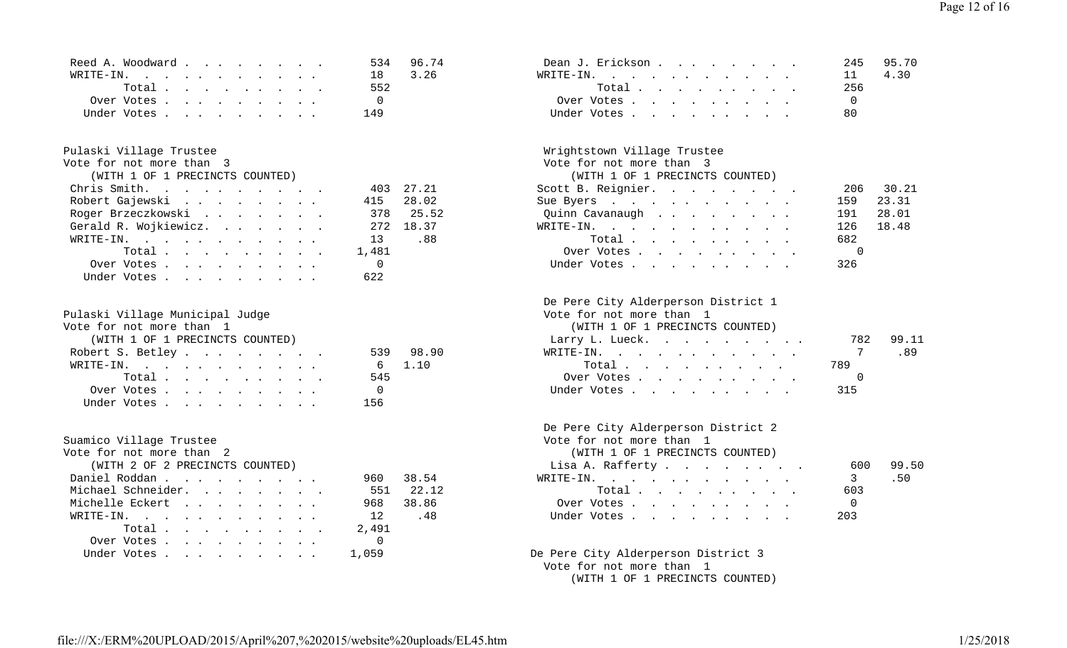| Reed A. Woodward | 534 96.74 | Dean J. Erickson | 245 95.7 |
|------------------|-----------|------------------|----------|
| WRITE-IN.        | 18 3.26   | WRITE-IN         | 11 4.30  |
| Total            | 552       | Total            | - 256    |
| Over Votes       |           | Over Votes       |          |
| Under Votes      | 149       | Under Votes      | -80      |

| Vote for not more than  3       | Vote for not more than 3 |                                 |                |  |  |  |
|---------------------------------|--------------------------|---------------------------------|----------------|--|--|--|
| (WITH 1 OF 1 PRECINCTS COUNTED) |                          | (WITH 1 OF 1 PRECINCTS COUNTED) |                |  |  |  |
| Chris Smith.                    | 403 27.21                | Scott B. Reignier.              | 206            |  |  |  |
| Robert Gajewski                 | 415 28.02                | Sue Byers                       | 159            |  |  |  |
| Roger Brzeczkowski              | 378 25.52                | Quinn Cavanaugh                 | 191            |  |  |  |
| Gerald R. Wojkiewicz.           | 272 18.37                | WRITE-IN.                       | 126            |  |  |  |
| WRITE-IN.                       | 13 .88                   | Total                           | 682            |  |  |  |
| Total.                          | 1,481                    | Over Votes                      | $\overline{c}$ |  |  |  |
| Over Votes                      | $\mathbf{0}$             | Under Votes                     | 326            |  |  |  |
| Under Votes                     | 622                      |                                 |                |  |  |  |

| Pulaski Village Municipal Judge |                | Vote for not more than 1        |     |      |
|---------------------------------|----------------|---------------------------------|-----|------|
| Vote for not more than 1        |                | (WITH 1 OF 1 PRECINCTS COUNTED) |     |      |
| (WITH 1 OF 1 PRECINCTS COUNTED) |                | Larry L. Lueck.                 | 782 | 99.1 |
| Robert S. Betley                | 539 98.90      | WRITE-IN. 7                     |     | .89  |
| WRITE-IN.                       | 6 1.10         | Total 789                       |     |      |
| Total                           | 545            | Over Votes                      |     |      |
| Over Votes                      | $\overline{0}$ | Under Votes 315                 |     |      |
| Under Votes 156                 |                |                                 |     |      |

| Vote for not more than 2        |              | (WITH 1 OF 1 PRECINCTS COUNTED)     |                |           |
|---------------------------------|--------------|-------------------------------------|----------------|-----------|
| (WITH 2 OF 2 PRECINCTS COUNTED) |              | Lisa A. Rafferty                    |                | 600 99.50 |
| Daniel Roddan                   | 38.54<br>960 | $\texttt{WRTTE-IN.}$                |                | .50       |
| Michael Schneider.              | 551 22.12    | Total $\cdots$                      | 603            |           |
| Michelle Eckert                 | 968 38.86    | Over Votes                          | $\overline{0}$ |           |
| WRITE-IN.                       | 12.48        | Under Votes                         | 203            |           |
| Total $\ldots$                  | 2,491        |                                     |                |           |
| Over Votes                      |              |                                     |                |           |
| Under Votes 1,059               |              | De Pere City Alderperson District 3 |                |           |

| Reed A. Woodward | 534 96.74 | Dean J. Erickson | 245 95.70 |
|------------------|-----------|------------------|-----------|
| WRITE-IN.        | 18 3.26   | WRITE-IN.        | 11 4.30   |
| Total            | 552       | Total            | 256       |
| Over Votes       |           | Over Votes       |           |
|                  | 149       | Under Votes      |           |

# Pulaski Village Trustee<br>Vote for not more than 3

### (WITH 1 OF 1 PRECINCTS COUNTED) (WITH 1 OF 1 PRECINCTS COUNTED)

| Chris Smith.            | 403 27.21 | Scott B. Reignier. | 206 30.21 |
|-------------------------|-----------|--------------------|-----------|
| Robert Gajewski         | 415 28.02 | Sue Byers          | 159 23.31 |
| Roger Brzeczkowski      | 378 25.52 | Quinn Cavanaugh    | 191 28.01 |
| Gerald R. Wojkiewicz.   | 272 18.37 | WRITE-IN.          | 126 18.48 |
| WRITE-IN.               | 13.88     | Total              | 682       |
| 1,481<br>Total $\ldots$ |           | Over Votes         |           |
| Over Votes 0            |           | Under Votes        | 326       |

#### De Pere City Alderperson District 1

#### (WITH 1 OF 1 PRECINCTS COUNTED)

| (WITH 1 OF 1 PRECINCTS COUNTED) |           | Larry L. Lueck. |     | 782 99.11 |
|---------------------------------|-----------|-----------------|-----|-----------|
| Robert S. Betley                | 539 98.90 | WRITE-IN. 7 .89 |     |           |
| WRITE-IN.                       | 6 1.10    | Total           | 789 |           |
| Total                           | 545       | Over Votes      |     |           |
| Over Votes                      |           | Under Votes     | 315 |           |

## De Pere City Alderperson District 2

Suamico Village Trustee Suamico Village Trustee Vote for not more than 1

| (WITH 1 OF 1 PRECINCTS COUNTED) |        |  |  |  |  |                |     |
|---------------------------------|--------|--|--|--|--|----------------|-----|
| Lisa A. Rafferty                |        |  |  |  |  | 600            | 99. |
| RITE-IN.                        |        |  |  |  |  | $\overline{3}$ | .50 |
|                                 | Total. |  |  |  |  | 603            |     |
| Over Votes                      |        |  |  |  |  |                |     |
| Under Votes                     |        |  |  |  |  | 203            |     |
|                                 |        |  |  |  |  |                |     |

### De Pere City Alderperson District 3 Vote for not more than 1

(WITH 1 OF 1 PRECINCTS COUNTED)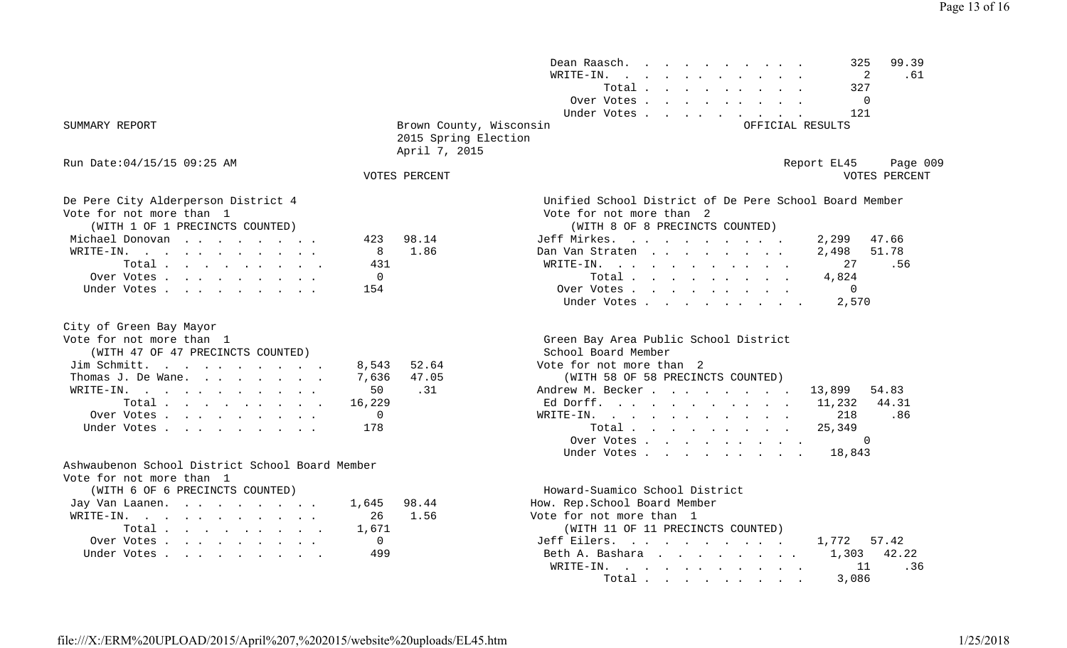| SUMMARY REPORT                                                                                        |                                            | Brown County, Wisconsin<br>2015 Spring Election | Dean Raasch.<br>$\mathbf{r}$ , $\mathbf{r}$ , $\mathbf{r}$ , $\mathbf{r}$ , $\mathbf{r}$<br>WRITE-IN.<br>Total<br>Over Votes<br>Under Votes                                              | 99.39<br>325<br>2<br>.61<br>327<br>0<br>121<br>OFFICIAL RESULTS                  |
|-------------------------------------------------------------------------------------------------------|--------------------------------------------|-------------------------------------------------|------------------------------------------------------------------------------------------------------------------------------------------------------------------------------------------|----------------------------------------------------------------------------------|
|                                                                                                       |                                            | April 7, 2015                                   |                                                                                                                                                                                          |                                                                                  |
| Run Date:04/15/15 09:25 AM                                                                            |                                            | VOTES PERCENT                                   |                                                                                                                                                                                          | Report EL45<br>Page 009<br>VOTES PERCENT                                         |
| De Pere City Alderperson District 4<br>Vote for not more than  1<br>(WITH 1 OF 1 PRECINCTS COUNTED)   | 423                                        |                                                 | Unified School District of De Pere School Board Member<br>Vote for not more than 2<br>(WITH 8 OF 8 PRECINCTS COUNTED)                                                                    |                                                                                  |
| Michael Donovan<br>WRITE-IN.<br>Total<br>Over Votes.<br>Under Votes                                   | 8<br>431<br>$\mathbf 0$<br>154             | 98.14<br>1.86                                   | Jeff Mirkes.<br>Dan Van Straten<br>WRITE-IN.<br>$\mathbf{r}$ , and $\mathbf{r}$ , and $\mathbf{r}$ , and $\mathbf{r}$ , and $\mathbf{r}$<br>Total<br>Over Votes<br>Under Votes           | 2,299<br>47.66<br>51.78<br>2,498<br>27<br>.56<br>4,824<br>$\Omega$<br>2,570      |
| City of Green Bay Mayor<br>Vote for not more than 1<br>(WITH 47 OF 47 PRECINCTS COUNTED)              |                                            |                                                 | Green Bay Area Public School District<br>School Board Member                                                                                                                             |                                                                                  |
| Jim Schmitt.<br>Thomas J. De Wane.                                                                    | 8,543<br>7,636                             | 52.64<br>47.05                                  | Vote for not more than 2<br>(WITH 58 OF 58 PRECINCTS COUNTED)                                                                                                                            |                                                                                  |
| WRITE-IN.<br>Total<br>Over Votes<br>Under Votes                                                       | 50<br>16,229<br>$\mathbf 0$<br>178         | .31                                             | Andrew M. Becker<br>Ed Dorff.<br>WRITE-IN.<br>Total $\cdots$ $\cdots$ $\cdots$<br>Over Votes<br>Under Votes                                                                              | 54.83<br>13,899<br>44.31<br>11,232<br>.86<br>218<br>25,349<br>$\Omega$<br>18,843 |
| Ashwaubenon School District School Board Member<br>Vote for not more than 1                           |                                            |                                                 |                                                                                                                                                                                          |                                                                                  |
| (WITH 6 OF 6 PRECINCTS COUNTED)<br>Jay Van Laanen<br>WRITE-IN.<br>Total<br>Over Votes.<br>Under Votes | 1,645<br>26<br>1,671<br>$\mathbf 0$<br>499 | 98.44<br>1.56                                   | Howard-Suamico School District<br>How. Rep.School Board Member<br>Vote for not more than 1<br>(WITH 11 OF 11 PRECINCTS COUNTED)<br>Jeff Eilers.<br>Beth A. Bashara<br>WRITE-IN.<br>Total | 57.42<br>1,772<br>1,303<br>42.22<br>.36<br>11<br>3,086                           |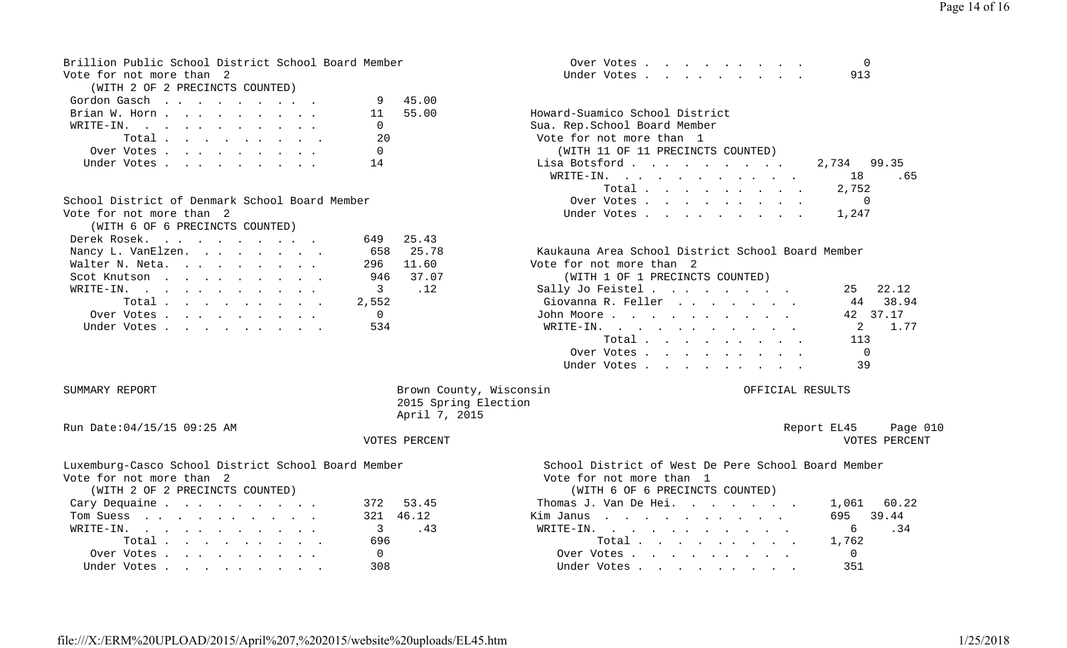| Brillion Public School District School Board Member | Over Votes                   |  |
|-----------------------------------------------------|------------------------------|--|
| Vote for not more than 2                            | Under Votes, , , , , , , , , |  |

|  |  | (WITH 2 OF 2 PRECINCTS COUNTED) |  |
|--|--|---------------------------------|--|
|  |  |                                 |  |

| Gordon Gasch 9 45.00 |  |  |  |  |                |          |                                   |       |
|----------------------|--|--|--|--|----------------|----------|-----------------------------------|-------|
| Brian W. Horn        |  |  |  |  |                | 11 55.00 | Howard-Suamico School District    |       |
| WRITE-IN.            |  |  |  |  | $\overline{0}$ |          | Sua. Rep.School Board Member      |       |
| Total $\ldots$       |  |  |  |  | 20             |          | Vote for not more than 1          |       |
| Over Votes           |  |  |  |  | $\Omega$       |          | (WITH 11 OF 11 PRECINCTS COUNTED) |       |
| Under Votes 14       |  |  |  |  |                |          | Lisa Botsford<br>2,734            | 99.35 |

| (WITH 6 OF 6 PRECINCTS COUNTED) |  |  |  |  |           |           |
|---------------------------------|--|--|--|--|-----------|-----------|
| Derek Rosek.                    |  |  |  |  |           | 649 25.43 |
| Nancy L. VanElzen.              |  |  |  |  |           | 658 25.78 |
| Walter N. Neta.                 |  |  |  |  | 296 11.60 |           |
| Scot Knutson                    |  |  |  |  | 946 37.07 |           |
| WRITE-IN.                       |  |  |  |  | 3 12      |           |
| Total $\cdot$                   |  |  |  |  | 2,552     |           |
| Over Votes 0                    |  |  |  |  |           |           |
| Under Votes 534                 |  |  |  |  |           |           |
|                                 |  |  |  |  |           |           |

| Over Votes  |  |  |  |  |     |
|-------------|--|--|--|--|-----|
| Under Votes |  |  |  |  | 913 |

| Brian W. Horn 11                               | 55.00          | Howard-Suamico School District    |     |
|------------------------------------------------|----------------|-----------------------------------|-----|
| WRITE-IN.                                      |                | Sua. Rep.School Board Member      |     |
|                                                | - 20           | Vote for not more than 1          |     |
| Over Votes                                     | $\overline{0}$ | (WITH 11 OF 11 PRECINCTS COUNTED) |     |
| Under Votes 14                                 |                | Lisa Botsford 2,734 99.35         |     |
|                                                |                | WRITE-IN. 18                      | .65 |
|                                                |                | Total 2,752                       |     |
| School District of Denmark School Board Member |                | Over Votes 0                      |     |
| Vote for not more than  2                      |                | Under Votes 1,247                 |     |
|                                                |                |                                   |     |

### 78 Kaukauna Area School District School Board Member

50 Vote for not more than 2

#### Scot Knutson . . . . . . . . . 946 37.07 (WITH 1 OF 1 PRECINCTS COUNTED)

|     | Sally Jo Feistel                                              | 25 22.12       |
|-----|---------------------------------------------------------------|----------------|
|     | Giovanna R. Feller                                            | 44 38.94       |
|     | John Moore                                                    | 42 37.17       |
| 534 | WRITE-IN.                                                     | 2 1.77         |
|     | Total $\cdots$                                                | 113            |
|     | Over Votes                                                    | $\overline{0}$ |
|     | Under Votes                                                   | 39             |
|     | $\verb+WRTTE-IN.$<br>Total 2,552<br>Over Votes<br>Under Votes |                |

### SUMMARY REPORT SERVICES SERVICES AND SERVICES SUMMARY REPORT OFFICIAL RESULTS 2015 Spring Election April 7, 2015

Run Date:04/15/15 09:25 AM Report EL45 Page 010

Vote for not more than 2 Vote for not more than 1

| (WITH 2 OF 2 PRECINCTS COUNTED) |           | (WITH 6 OF 6 PRECINCTS COUNTED) |                |
|---------------------------------|-----------|---------------------------------|----------------|
| Cary Dequaine                   | 372 53.45 | Thomas J. Van De Hei.           | 1,061          |
| Tom Suess                       | 321 46.12 | Kim Janus                       | 695            |
| WRITE-IN.                       | 3 .43     | WRITE-IN.                       | 6              |
| Total                           | 696       | Total                           | 1,762          |
| Over Votes                      |           | Over Votes                      | $\overline{0}$ |
| Under Votes                     | 308       | Under Votes                     | 351            |

VOTES PERCENT VOTES PERCENT

Luxemburg-Casco School District School Board Member School District of West De Pere School Board Member

#### (WITH 6 OF 6 PRECINCTS COUNTED)

| Cary Dequaine | 53.45     | Thomas J. Van De Hei. | 1,061 60.22  |
|---------------|-----------|-----------------------|--------------|
| Tom Suess     | 321 46.12 | Kim Janus             | 39.44<br>695 |
| WRITE-IN.     |           | WRITE-IN.             |              |
| Total         | 696       | Total $\ldots$        | 1.762        |
| Over Votes    |           | Over Votes            |              |
| Under Votes   | 308       | Under Votes           | 351          |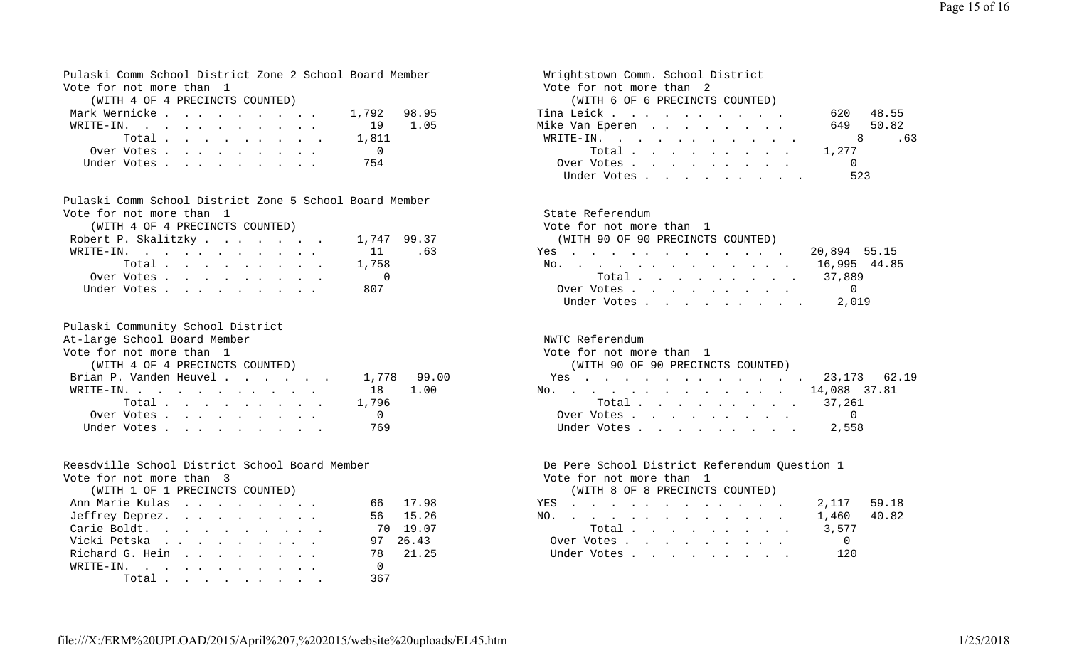Pulaski Comm School District Zone 2 School Board Member Wrightstown Comm. School District Vote for not more than 1 and 1 and 1 and 1 and 1 and 1 and 1 and 1 and 1 and 1 and 1 and 1 and 1 and 1 and 1 and 1 and 1 and 1 and 1 and 1 and 1 and 1 and 1 and 1 and 1 and 1 and 1 and 1 and 1 and 1 and 1 and 1 and 1 and 1

| Mark Wernicke             |  |  |  |  |        | 1,792 98.95 |      |
|---------------------------|--|--|--|--|--------|-------------|------|
| $W\text{RITE}-\text{IN}.$ |  |  |  |  |        | <b>19</b>   | 1.05 |
|                           |  |  |  |  | Total. | 1,811       |      |
| Over Votes                |  |  |  |  |        |             |      |
| Under Votes               |  |  |  |  |        | 754         |      |

Pulaski Comm School District Zone 5 School Board MemberVote for not more than 1 State Referendum

|                     | (WIIH 4 OF 4 PRECINCIS COUNTED) |  |  |  |  |             |     |
|---------------------|---------------------------------|--|--|--|--|-------------|-----|
| Robert P. Skalitzky |                                 |  |  |  |  | 1,747 99.37 |     |
| WRITE-IN.           |                                 |  |  |  |  | $-11$       | .63 |
|                     | Total                           |  |  |  |  | 1,758       |     |
|                     | Over Votes                      |  |  |  |  |             |     |
|                     | Under Votes                     |  |  |  |  | 807         |     |

| Pulaski Community School District  |                |  |
|------------------------------------|----------------|--|
| At-large School Board Member       |                |  |
| Vote for not more than 1           |                |  |
| (WITH 4 OF 4 PRECINCTS COUNTED)    |                |  |
| Brian P. Vanden Heuvel 1,778 99.00 |                |  |
| WRITE-IN.                          | 18 1.00        |  |
| Total1,796                         |                |  |
| Over Votes                         | $\overline{0}$ |  |
| Under Votes                        | 769            |  |

#### Reesdville School District School Board Member **De Pere School District Referendum Question** 1

Vote for not more than 3 Vote for not more than 1

| (WITH 1 OF 1 PRECINCTS COUNTED) |          | (WITH 8 OF 8 PRECINCTS COUNTED) |
|---------------------------------|----------|---------------------------------|
| Ann Marie Kulas                 | 66 17.98 | 2,117<br>YES                    |
| Jeffrey Deprez.                 | 56 15.26 | 1,460<br>NO.                    |
| Carie Boldt.                    | 70 19.07 | 3,577<br>Total                  |
| Vicki Petska                    | 97 26.43 | $\overline{0}$<br>Over Votes    |
| Richard G. Hein                 | 78 21.25 | 120<br>Under Votes              |
| WRITE-IN.                       |          |                                 |
| Total                           | 367      |                                 |

 (WITH 4 OF 4 PRECINCTS COUNTED) (WITH 6 OF 6 PRECINCTS COUNTED) Tina Leick . . . . . . . . . . . . 620 48.55 Mike Van Eperen . . . . . . . . . 649 50.82 WRITE-IN. . . . . . . . . . . . 8 .63 Total . . . . . . . . . 1,277 Over Votes . . . . . . . . . 0 Under Votes . . . . . . . . . 523

 (WITH 4 OF 4 PRECINCTS COUNTED) Vote for not more than 1 (WITH 90 OF 90 PRECINCTS COUNTED) Yes . . . . . . . . . . . . 20,894 55.15 No. . . . . . . . . . . . 16,995 44.85 Total . . . . . . . . . . 37,889 Under Votes . . . . . . . . . 807 Over Votes . . . . . . . . . 0Under Votes . . . . . . . . . 2,019

### NWTC Referendum Vote for not more than 1 (WITH 90 OF 90 PRECINCTS COUNTED) Brian P. Vanden Heuvel . . . . . . 1,778 99.00 Yes . . . . . . . . . . . . 23,173 62.19 No. . . . . . . . . . . . . 14,088 37.81 Total . . . . . . . . . 37,261 Over Votes . . . . . . . . . 0 Under Votes . . . . . . . . . 2,558

#### (WITH 8 OF 8 PRECINCTS COUNTED)

| Ann Marie Kulas | 66 17.98 | YES 2,117 59.18 |             |
|-----------------|----------|-----------------|-------------|
| Jeffrey Deprez. | 56 15.26 | NO.             | 1,460 40.82 |
| Carie Boldt.    | 70 19 07 | Total 3,577     |             |
| Vicki Petska    | 97 26.43 | Over Votes      |             |
| Richard G. Hein | 78 21.25 | Under Votes     | 120         |